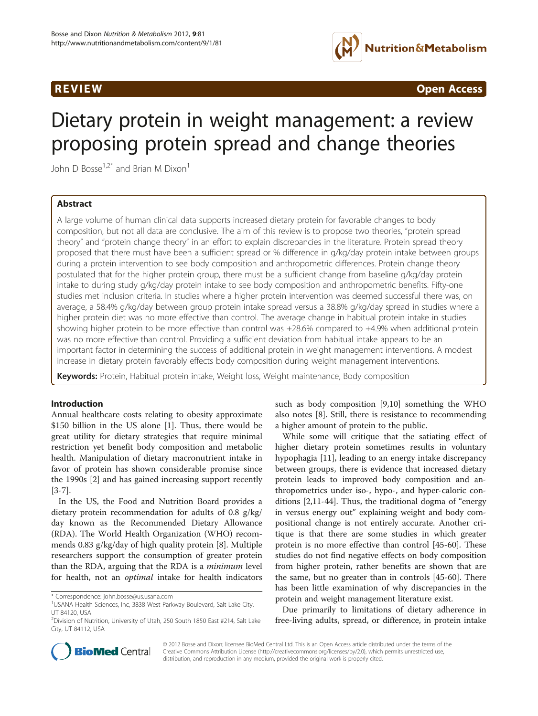

**REVIEW CONSIDERING CONSIDERING CONSIDERING CONSIDERING CONSIDERING CONSIDERING CONSIDERING CONSIDERING CONSIDERING CONSIDERING CONSIDERING CONSIDERING CONSIDERING CONSIDERING CONSIDERING CONSIDERING CONSIDERING CONSIDER** 

# Dietary protein in weight management: a review proposing protein spread and change theories

John D Bosse<sup>1,2\*</sup> and Brian M Dixon<sup>1</sup>

# Abstract

A large volume of human clinical data supports increased dietary protein for favorable changes to body composition, but not all data are conclusive. The aim of this review is to propose two theories, "protein spread theory" and "protein change theory" in an effort to explain discrepancies in the literature. Protein spread theory proposed that there must have been a sufficient spread or % difference in g/kg/day protein intake between groups during a protein intervention to see body composition and anthropometric differences. Protein change theory postulated that for the higher protein group, there must be a sufficient change from baseline g/kg/day protein intake to during study g/kg/day protein intake to see body composition and anthropometric benefits. Fifty-one studies met inclusion criteria. In studies where a higher protein intervention was deemed successful there was, on average, a 58.4% g/kg/day between group protein intake spread versus a 38.8% g/kg/day spread in studies where a higher protein diet was no more effective than control. The average change in habitual protein intake in studies showing higher protein to be more effective than control was +28.6% compared to +4.9% when additional protein was no more effective than control. Providing a sufficient deviation from habitual intake appears to be an important factor in determining the success of additional protein in weight management interventions. A modest increase in dietary protein favorably effects body composition during weight management interventions.

Keywords: Protein, Habitual protein intake, Weight loss, Weight maintenance, Body composition

# Introduction

Annual healthcare costs relating to obesity approximate \$150 billion in the US alone [\[1\]](#page-13-0). Thus, there would be great utility for dietary strategies that require minimal restriction yet benefit body composition and metabolic health. Manipulation of dietary macronutrient intake in favor of protein has shown considerable promise since the 1990s [[2](#page-13-0)] and has gained increasing support recently [[3-7](#page-13-0)].

In the US, the Food and Nutrition Board provides a dietary protein recommendation for adults of 0.8 g/kg/ day known as the Recommended Dietary Allowance (RDA). The World Health Organization (WHO) recommends 0.83 g/kg/day of high quality protein [[8\]](#page-13-0). Multiple researchers support the consumption of greater protein than the RDA, arguing that the RDA is a *minimum* level for health, not an optimal intake for health indicators such as body composition [[9,10\]](#page-13-0) something the WHO also notes [\[8](#page-13-0)]. Still, there is resistance to recommending a higher amount of protein to the public.

While some will critique that the satiating effect of higher dietary protein sometimes results in voluntary hypophagia [[11](#page-13-0)], leading to an energy intake discrepancy between groups, there is evidence that increased dietary protein leads to improved body composition and anthropometrics under iso-, hypo-, and hyper-caloric conditions [[2,11](#page-13-0)[-44](#page-14-0)]. Thus, the traditional dogma of "energy in versus energy out" explaining weight and body compositional change is not entirely accurate. Another critique is that there are some studies in which greater protein is no more effective than control [\[45-](#page-14-0)[60](#page-15-0)]. These studies do not find negative effects on body composition from higher protein, rather benefits are shown that are the same, but no greater than in controls [\[45](#page-14-0)-[60\]](#page-15-0). There has been little examination of why discrepancies in the protein and weight management literature exist.

Due primarily to limitations of dietary adherence in free-living adults, spread, or difference, in protein intake



© 2012 Bosse and Dixon; licensee BioMed Central Ltd. This is an Open Access article distributed under the terms of the Creative Commons Attribution License (<http://creativecommons.org/licenses/by/2.0>), which permits unrestricted use, distribution, and reproduction in any medium, provided the original work is properly cited.

<sup>\*</sup> Correspondence: [john.bosse@us.usana.com](mailto:john.bosse@us.usana.com) <sup>1</sup>

USANA Health Sciences, Inc, 3838 West Parkway Boulevard, Salt Lake City, UT 84120, USA

<sup>2</sup> Division of Nutrition, University of Utah, 250 South 1850 East #214, Salt Lake City, UT 84112, USA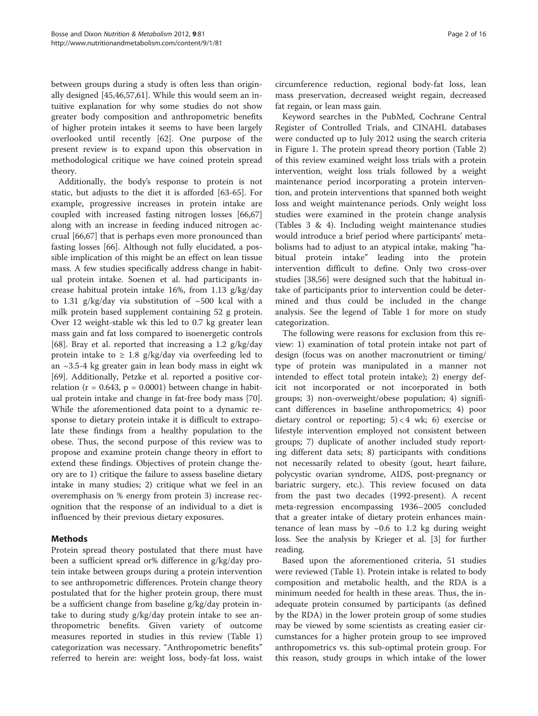between groups during a study is often less than originally designed [\[45,46](#page-14-0)[,57,61\]](#page-15-0). While this would seem an intuitive explanation for why some studies do not show greater body composition and anthropometric benefits of higher protein intakes it seems to have been largely overlooked until recently [[62\]](#page-15-0). One purpose of the present review is to expand upon this observation in methodological critique we have coined protein spread theory.

Additionally, the body's response to protein is not static, but adjusts to the diet it is afforded [\[63-65](#page-15-0)]. For example, progressive increases in protein intake are coupled with increased fasting nitrogen losses [[66](#page-15-0),[67](#page-15-0)] along with an increase in feeding induced nitrogen accrual [\[66,67\]](#page-15-0) that is perhaps even more pronounced than fasting losses [[66](#page-15-0)]. Although not fully elucidated, a possible implication of this might be an effect on lean tissue mass. A few studies specifically address change in habitual protein intake. Soenen et al. had participants increase habitual protein intake 16%, from 1.13 g/kg/day to 1.31 g/kg/day via substitution of  $\sim$  500 kcal with a milk protein based supplement containing 52 g protein. Over 12 weight-stable wk this led to 0.7 kg greater lean mass gain and fat loss compared to isoenergetic controls [[68\]](#page-15-0). Bray et al. reported that increasing a 1.2 g/kg/day protein intake to  $\geq$  1.8 g/kg/day via overfeeding led to an ~3.5-4 kg greater gain in lean body mass in eight wk [[69\]](#page-15-0). Additionally, Petzke et al. reported a positive correlation ( $r = 0.643$ ,  $p = 0.0001$ ) between change in habitual protein intake and change in fat-free body mass [\[70](#page-15-0)]. While the aforementioned data point to a dynamic response to dietary protein intake it is difficult to extrapolate these findings from a healthy population to the obese. Thus, the second purpose of this review was to propose and examine protein change theory in effort to extend these findings. Objectives of protein change theory are to 1) critique the failure to assess baseline dietary intake in many studies; 2) critique what we feel in an overemphasis on % energy from protein 3) increase recognition that the response of an individual to a diet is influenced by their previous dietary exposures.

# Methods

Protein spread theory postulated that there must have been a sufficient spread or% difference in g/kg/day protein intake between groups during a protein intervention to see anthropometric differences. Protein change theory postulated that for the higher protein group, there must be a sufficient change from baseline g/kg/day protein intake to during study g/kg/day protein intake to see anthropometric benefits. Given variety of outcome measures reported in studies in this review (Table [1](#page-2-0)) categorization was necessary. "Anthropometric benefits" referred to herein are: weight loss, body-fat loss, waist

circumference reduction, regional body-fat loss, lean mass preservation, decreased weight regain, decreased fat regain, or lean mass gain.

Keyword searches in the PubMed, Cochrane Central Register of Controlled Trials, and CINAHL databases were conducted up to July 2012 using the search criteria in Figure [1](#page-7-0). The protein spread theory portion (Table [2](#page-8-0)) of this review examined weight loss trials with a protein intervention, weight loss trials followed by a weight maintenance period incorporating a protein intervention, and protein interventions that spanned both weight loss and weight maintenance periods. Only weight loss studies were examined in the protein change analysis (Tables [3](#page-9-0) & [4](#page-9-0)). Including weight maintenance studies would introduce a brief period where participants' metabolisms had to adjust to an atypical intake, making "habitual protein intake" leading into the protein intervention difficult to define. Only two cross-over studies [[38,](#page-14-0)[56\]](#page-15-0) were designed such that the habitual intake of participants prior to intervention could be determined and thus could be included in the change analysis. See the legend of Table [1](#page-2-0) for more on study categorization.

The following were reasons for exclusion from this review: 1) examination of total protein intake not part of design (focus was on another macronutrient or timing/ type of protein was manipulated in a manner not intended to effect total protein intake); 2) energy deficit not incorporated or not incorporated in both groups; 3) non-overweight/obese population; 4) significant differences in baseline anthropometrics; 4) poor dietary control or reporting;  $5$   $<$  4 wk; 6) exercise or lifestyle intervention employed not consistent between groups; 7) duplicate of another included study reporting different data sets; 8) participants with conditions not necessarily related to obesity (gout, heart failure, polycystic ovarian syndrome, AIDS, post-pregnancy or bariatric surgery, etc.). This review focused on data from the past two decades (1992-present). A recent meta-regression encompassing 1936–2005 concluded that a greater intake of dietary protein enhances maintenance of lean mass by  $\sim 0.6$  to 1.2 kg during weight loss. See the analysis by Krieger et al. [\[3](#page-13-0)] for further reading.

Based upon the aforementioned criteria, 51 studies were reviewed (Table [1](#page-2-0)). Protein intake is related to body composition and metabolic health, and the RDA is a minimum needed for health in these areas. Thus, the inadequate protein consumed by participants (as defined by the RDA) in the lower protein group of some studies may be viewed by some scientists as creating easier circumstances for a higher protein group to see improved anthropometrics vs. this sub-optimal protein group. For this reason, study groups in which intake of the lower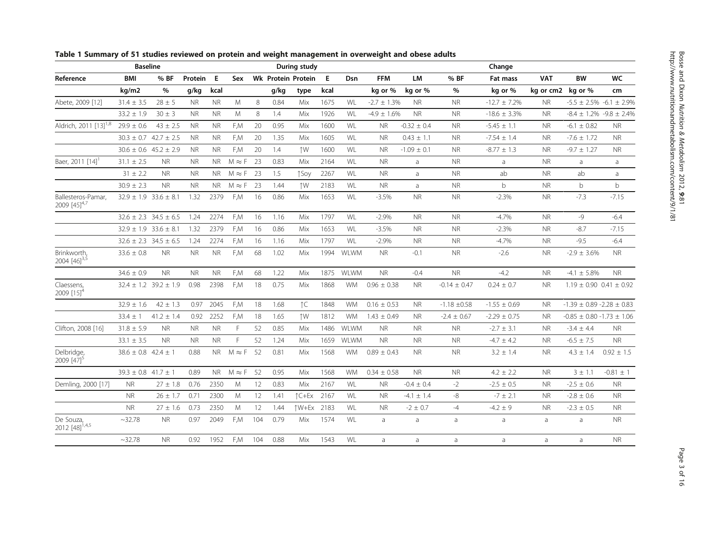|                                                | <b>Baseline</b>               |                               |           |           |               |     |      | During study              |      |             |                  |                 |                  | Change            |            |                                  |                |
|------------------------------------------------|-------------------------------|-------------------------------|-----------|-----------|---------------|-----|------|---------------------------|------|-------------|------------------|-----------------|------------------|-------------------|------------|----------------------------------|----------------|
| Reference                                      | <b>BMI</b>                    | % BF                          | Protein   | E         | Sex           |     |      | <b>Wk Protein Protein</b> | E    | Dsn         | <b>FFM</b>       | <b>LM</b>       | % BF             | Fat mass          | <b>VAT</b> | <b>BW</b>                        | <b>WC</b>      |
|                                                | kg/m2                         | $\%$                          | g/kg      | kcal      |               |     | g/kg | type                      | kcal |             | ka or %          | kg or %         | %                | kg or %           | kg or cm2  | kg or %                          | cm             |
| Abete, 2009 [12]                               | $31.4 \pm 3.5$                | $28 \pm 5$                    | <b>NR</b> | <b>NR</b> | M             | 8   | 0.84 | Mix                       | 1675 | WL          | $-2.7 \pm 1.3\%$ | <b>NR</b>       | <b>NR</b>        | $-12.7 \pm 7.2\%$ | <b>NR</b>  | $-5.5 \pm 2.5\% -6.1 \pm 2.9\%$  |                |
|                                                | $33.2 \pm 1.9$                | $30 \pm 3$                    | <b>NR</b> | <b>NR</b> | M             | 8   | 1.4  | Mix                       | 1926 | WL          | $-4.9 \pm 1.6\%$ | <b>NR</b>       | <b>NR</b>        | $-18.6 \pm 3.3\%$ | <b>NR</b>  | $-8.4 \pm 1.2\% -9.8 \pm 2.4\%$  |                |
| Aldrich, 2011 [13] <sup>1,8</sup>              | $29.9 \pm 0.6$                | $43 \pm 2.5$                  | <b>NR</b> | <b>NR</b> | F,M           | 20  | 0.95 | Mix                       | 1600 | WL          | <b>NR</b>        | $-0.32 \pm 0.4$ | <b>NR</b>        | $-5.45 \pm 1.1$   | <b>NR</b>  | $-6.1 \pm 0.82$                  | <b>NR</b>      |
|                                                |                               | $30.3 \pm 0.7$ 42.7 $\pm$ 2.5 | <b>NR</b> | <b>NR</b> | F.M           | 20  | 1.35 | Mix                       | 1605 | WL          | <b>NR</b>        | $0.43 \pm 1.1$  | <b>NR</b>        | $-7.54 \pm 1.4$   | NR.        | $-7.6 \pm 1.72$                  | <b>NR</b>      |
|                                                |                               | $30.6 \pm 0.6$ 45.2 $\pm$ 2.9 | <b>NR</b> | <b>NR</b> | F.M           | 20  | 1.4  | 1W                        | 1600 | WL          | <b>NR</b>        | $-1.09 \pm 0.1$ | <b>NR</b>        | $-8.77 \pm 1.3$   | <b>NR</b>  | $-9.7 \pm 1.27$                  | <b>NR</b>      |
| Baer, 2011 [14] <sup>1</sup>                   | $31.1 \pm 2.5$                | <b>NR</b>                     | <b>NR</b> | <b>NR</b> | $M \approx F$ | 23  | 0.83 | Mix                       | 2164 | WL          | <b>NR</b>        | a               | <b>NR</b>        | a                 | <b>NR</b>  | a                                | a              |
|                                                | $31 \pm 2.2$                  | <b>NR</b>                     | <b>NR</b> | NR.       | $M \approx F$ | 23  | 1.5  | ↑Sov                      | 2267 | WL          | <b>NR</b>        | a               | <b>NR</b>        | ab                | NR.        | ab                               | a              |
|                                                | $30.9 \pm 2.3$                | <b>NR</b>                     | <b>NR</b> | <b>NR</b> | $M \approx F$ | 23  | 1.44 | ↑W                        | 2183 | WL          | <b>NR</b>        | a               | <b>NR</b>        | b                 | <b>NR</b>  | $\mathsf{b}$                     | b              |
| Ballesteros-Pamar,<br>2009 [45] <sup>4,7</sup> | $32.9 \pm 1.9$ 33.6 $\pm$ 8.1 |                               | 1.32      | 2379      | F.M           | 16  | 0.86 | Mix                       | 1653 | WL          | $-3.5%$          | <b>NR</b>       | <b>NR</b>        | $-2.3%$           | <b>NR</b>  | $-7.3$                           | $-7.15$        |
|                                                |                               | $32.6 \pm 2.3$ 34.5 $\pm$ 6.5 | 1.24      | 2274      | F,M           | 16  | 1.16 | Mix                       | 1797 | WL          | $-2.9%$          | <b>NR</b>       | <b>NR</b>        | $-4.7%$           | <b>NR</b>  | $-9$                             | $-6.4$         |
|                                                |                               | $32.9 \pm 1.9$ 33.6 $\pm$ 8.1 | 1.32      | 2379      | F.M           | 16  | 0.86 | Mix                       | 1653 | WL          | $-3.5%$          | <b>NR</b>       | <b>NR</b>        | $-2.3%$           | <b>NR</b>  | $-8.7$                           | $-7.15$        |
|                                                |                               | $32.6 \pm 2.3$ 34.5 $\pm$ 6.5 | 1.24      | 2274      | F.M           | 16  | 1.16 | Mix                       | 1797 | WL          | $-2.9%$          | <b>NR</b>       | NR.              | $-4.7%$           | <b>NR</b>  | $-9.5$                           | $-6.4$         |
| Brinkworth,<br>2004 [46] <sup>3,5</sup>        | $33.6 \pm 0.8$                | <b>NR</b>                     | <b>NR</b> | <b>NR</b> | F,M           | 68  | 1.02 | Mix                       | 1994 | <b>WLWM</b> | <b>NR</b>        | $-0.1$          | <b>NR</b>        | $-2.6$            | <b>NR</b>  | $-2.9 \pm 3.6\%$                 | <b>NR</b>      |
|                                                | $34.6 \pm 0.9$                | <b>NR</b>                     | <b>NR</b> | <b>NR</b> | F.M           | 68  | 1.22 | Mix                       | 1875 | <b>WLWM</b> | <b>NR</b>        | $-0.4$          | <b>NR</b>        | $-4.2$            | <b>NR</b>  | $-4.1 \pm 5.8\%$                 | <b>NR</b>      |
| Claessens,<br>2009 [15] <sup>4</sup>           |                               | $32.4 \pm 1.2$ 39.2 $\pm$ 1.9 | 0.98      | 2398      | F,M           | 18  | 0.75 | Mix                       | 1868 | <b>WM</b>   | $0.96 \pm 0.38$  | <b>NR</b>       | $-0.14 \pm 0.47$ | $0.24 \pm 0.7$    | <b>NR</b>  | $1.19 \pm 0.90$ 0.41 $\pm$ 0.92  |                |
|                                                | $32.9 \pm 1.6$                | $42 \pm 1.3$                  | 0.97      | 2045      | F.M           | 18  | 1.68 | 1C                        | 1848 | <b>WM</b>   | $0.16 \pm 0.53$  | <b>NR</b>       | $-1.18 \pm 0.58$ | $-1.55 \pm 0.69$  | <b>NR</b>  | $-1.39 \pm 0.89 - 2.28 \pm 0.83$ |                |
|                                                | $33.4 \pm 1$                  | $41.2 \pm 1.4$                | 0.92      | 2252      | F,M           | 18  | 1.65 | ↑W                        | 1812 | <b>WM</b>   | $1.43 \pm 0.49$  | <b>NR</b>       | $-2.4 \pm 0.67$  | $-2.29 \pm 0.75$  | <b>NR</b>  | $-0.85 \pm 0.80 -1.73 \pm 1.06$  |                |
| Clifton, 2008 [16]                             | $31.8 \pm 5.9$                | <b>NR</b>                     | <b>NR</b> | <b>NR</b> | F             | 52  | 0.85 | Mix                       | 1486 | <b>WLWM</b> | <b>NR</b>        | <b>NR</b>       | <b>NR</b>        | $-2.7 \pm 3.1$    | <b>NR</b>  | $-3.4 \pm 4.4$                   | <b>NR</b>      |
|                                                | $33.1 \pm 3.5$                | <b>NR</b>                     | <b>NR</b> | <b>NR</b> | F             | 52  | 1.24 | Mix                       | 1659 | <b>WLWM</b> | <b>NR</b>        | <b>NR</b>       | <b>NR</b>        | $-4.7 \pm 4.2$    | NR.        | $-6.5 \pm 7.5$                   | NR.            |
| Delbridge,<br>2009 [47] <sup>5</sup>           | $38.6 \pm 0.8$ 42.4 $\pm$ 1   |                               | 0.88      | <b>NR</b> | $M \approx F$ | 52  | 0.81 | Mix                       | 1568 | <b>WM</b>   | $0.89 \pm 0.43$  | <b>NR</b>       | <b>NR</b>        | $3.2 \pm 1.4$     | <b>NR</b>  | $4.3 \pm 1.4$                    | $0.92 \pm 1.5$ |
|                                                | $39.3 \pm 0.8$ 41.7 $\pm$ 1   |                               | 0.89      | NR.       | $M \approx F$ | 52  | 0.95 | Mix                       | 1568 | <b>WM</b>   | $0.34 \pm 0.58$  | <b>NR</b>       | <b>NR</b>        | $4.2 \pm 2.2$     | <b>NR</b>  | $3 \pm 1.1$                      | $-0.81 \pm 1$  |
| Demling, 2000 [17]                             | <b>NR</b>                     | $27 \pm 1.8$                  | 0.76      | 2350      | M             | 12  | 0.83 | Mix                       | 2167 | WL          | <b>NR</b>        | $-0.4 \pm 0.4$  | $-2$             | $-2.5 \pm 0.5$    | <b>NR</b>  | $-2.5 \pm 0.6$                   | <b>NR</b>      |
|                                                | <b>NR</b>                     | $26 \pm 1.7$                  | 0.71      | 2300      | M             | 12  | 1.41 | $TC+Ex$                   | 2167 | WL          | <b>NR</b>        | $-4.1 \pm 1.4$  | -8               | $-7 \pm 2.1$      | <b>NR</b>  | $-2.8 \pm 0.6$                   | <b>NR</b>      |
|                                                | <b>NR</b>                     | $27 \pm 1.6$                  | 0.73      | 2350      | M             | 12  | 1.44 | ↑W+Ex                     | 2183 | WL          | <b>NR</b>        | $-2 \pm 0.7$    | $-4$             | $-4.2 \pm 9$      | <b>NR</b>  | $-2.3 \pm 0.5$                   | <b>NR</b>      |
| De Souza,<br>2012 [48] <sup>1,4,5</sup>        | ~232.78                       | <b>NR</b>                     | 0.97      | 2049      | F,M           | 104 | 0.79 | Mix                       | 1574 | WL          | a                | a               | a                | a                 | a          | a                                | <b>NR</b>      |
|                                                | ~232.78                       | <b>NR</b>                     | 0.92      | 1952      | F,M           | 104 | 0.88 | Mix                       | 1543 | WL          | a                | a               | a                | a                 | a          | a                                | <b>NR</b>      |

<span id="page-2-0"></span>Table 1 Summary of 51 studies reviewed on protein and weight management in overweight and obese adults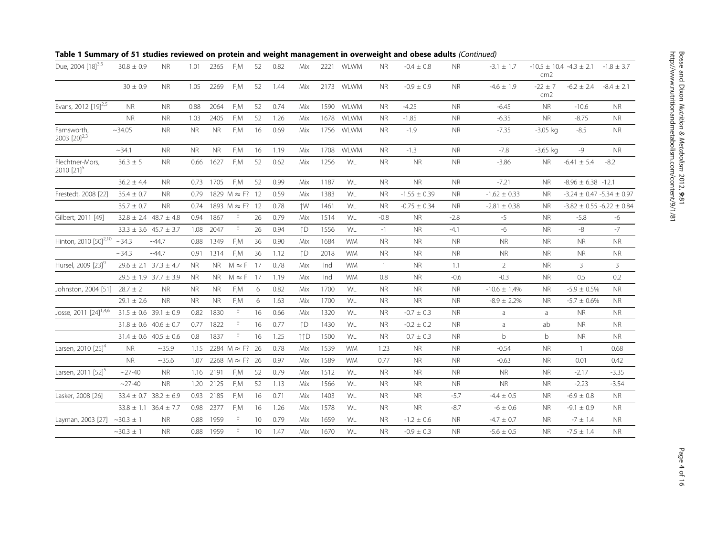| Due, 2004 [18] <sup>3,5</sup>             | $30.8 \pm 0.9$ | NR.                           | 1.01      | 2365      | F,M                     | 52 | 0.82 | Mix                   | 2221 | <b>WLWM</b> | <b>NR</b>    | $-0.4 \pm 0.8$   | NR.       | $-3.1 \pm 1.7$    | cm <sub>2</sub>                | $-10.5 \pm 10.4$ $-4.3 \pm 2.1$ $-1.8 \pm 3.7$ |           |
|-------------------------------------------|----------------|-------------------------------|-----------|-----------|-------------------------|----|------|-----------------------|------|-------------|--------------|------------------|-----------|-------------------|--------------------------------|------------------------------------------------|-----------|
|                                           | $30 \pm 0.9$   | NR.                           | 1.05      | 2269      | F,M                     | 52 | 1.44 | Mix                   |      | 2173 WLWM   | <b>NR</b>    | $-0.9 \pm 0.9$   | <b>NR</b> | $-4.6 \pm 1.9$    | $-22 \pm 7$<br>cm <sub>2</sub> | $-6.2 \pm 2.4$ $-8.4 \pm 2.1$                  |           |
| Evans, 2012 [19] <sup>2,5</sup>           | <b>NR</b>      | <b>NR</b>                     | 0.88      | 2064      | F.M                     | 52 | 0.74 | Mix                   | 1590 | <b>WLWM</b> | <b>NR</b>    | $-4.25$          | <b>NR</b> | $-6.45$           | <b>NR</b>                      | $-10.6$                                        | <b>NR</b> |
|                                           | <b>NR</b>      | <b>NR</b>                     | 1.03      | 2405      | F,M                     | 52 | 1.26 | Mix                   | 1678 | <b>WLWM</b> | <b>NR</b>    | $-1.85$          | <b>NR</b> | $-6.35$           | <b>NR</b>                      | $-8.75$                                        | <b>NR</b> |
| Farnsworth,<br>2003 [20] <sup>2,3</sup>   | ~14.05         | <b>NR</b>                     | <b>NR</b> | <b>NR</b> | F,M                     | 16 | 0.69 | Mix                   | 1756 | <b>WLWM</b> | <b>NR</b>    | $-1.9$           | <b>NR</b> | $-7.35$           | $-3.05$ kg                     | $-8.5$                                         | <b>NR</b> |
|                                           | ~234.1         | <b>NR</b>                     | <b>NR</b> | <b>NR</b> | F.M                     | 16 | 1.19 | Mix                   | 1708 | <b>WLWM</b> | <b>NR</b>    | $-1.3$           | <b>NR</b> | $-7.8$            | $-3.65$ ka                     | $-9$                                           | <b>NR</b> |
| Flechtner-Mors,<br>2010 [21] <sup>5</sup> | $36.3 \pm 5$   | <b>NR</b>                     | 0.66      | 1627      | F,M                     | 52 | 0.62 | Mix                   | 1256 | WL          | <b>NR</b>    | <b>NR</b>        | <b>NR</b> | $-3.86$           | <b>NR</b>                      | $-6.41 \pm 5.4$                                | $-8.2$    |
|                                           | $36.2 \pm 4.4$ | <b>NR</b>                     | 0.73      | 1705      | F.M                     | 52 | 0.99 | Mix                   | 1187 | WL          | <b>NR</b>    | <b>NR</b>        | <b>NR</b> | $-7.21$           | <b>NR</b>                      | $-8.96 \pm 6.38 -12.1$                         |           |
| Frestedt, 2008 [22]                       | $35.4 \pm 0.7$ | NR.                           | 0.79      |           | 1829 M $\approx$ F? 12  |    | 0.59 | Mix                   | 1383 | WL          | <b>NR</b>    | $-1.55 \pm 0.39$ | <b>NR</b> | $-1.62 \pm 0.33$  | NR.                            | $-3.24 \pm 0.47 -5.34 \pm 0.97$                |           |
|                                           | $35.7 \pm 0.7$ | NR.                           | 0.74      |           | 1893 $M \approx F$ ? 12 |    | 0.78 | ↑W                    | 1461 | WL          | <b>NR</b>    | $-0.75 \pm 0.34$ | NR.       | $-2.81 \pm 0.38$  | NR.                            | $-3.82 \pm 0.55 -6.22 \pm 0.84$                |           |
| Gilbert, 2011 [49]                        |                | $32.8 \pm 2.4$ 48.7 $\pm 4.8$ | 0.94      | 1867      | F                       | 26 | 0.79 | Mix                   | 1514 | WL          | $-0.8$       | <b>NR</b>        | $-2.8$    | $-5$              | NR.                            | $-5.8$                                         | -6        |
|                                           |                | $33.3 \pm 3.6$ 45.7 $\pm 3.7$ | 1.08      | 2047      | F                       | 26 | 0.94 | $\uparrow$ D          | 1556 | WL          | $-1$         | <b>NR</b>        | $-4.1$    | $-6$              | NR.                            | -8                                             | $-7$      |
| Hinton, 2010 [50] <sup>2,10</sup>         | ~234.3         | ~144.7                        | 0.88      | 1349      | F,M                     | 36 | 0.90 | Mix                   | 1684 | <b>WM</b>   | <b>NR</b>    | <b>NR</b>        | <b>NR</b> | <b>NR</b>         | <b>NR</b>                      | <b>NR</b>                                      | <b>NR</b> |
|                                           | ~34.3          | ~144.7                        | 0.91      | 1314      | F,M                     | 36 | 1.12 | 1D                    | 2018 | <b>WM</b>   | <b>NR</b>    | <b>NR</b>        | <b>NR</b> | <b>NR</b>         | NR.                            | <b>NR</b>                                      | <b>NR</b> |
| Hursel, 2009 [23] <sup>9</sup>            |                | $29.6 \pm 2.1$ 37.3 $\pm$ 4.7 | <b>NR</b> | NR.       | $M \approx F$           | 17 | 0.78 | Mix                   | Ind  | <b>WM</b>   | $\mathbf{1}$ | <b>NR</b>        | 1.1       | $\overline{2}$    | <b>NR</b>                      | 3                                              | 3         |
|                                           |                | $29.5 \pm 1.9$ 37.7 $\pm$ 3.9 | <b>NR</b> | NR.       | $M \approx F$ 17        |    | 1.19 | Mix                   | Ind  | <b>WM</b>   | 0.8          | <b>NR</b>        | $-0.6$    | $-0.3$            | NR.                            | 0.5                                            | 0.2       |
| Johnston, 2004 [51]                       | $28.7 \pm 2$   | NR.                           | <b>NR</b> | <b>NR</b> | F,M                     | 6  | 0.82 | Mix                   | 1700 | WL          | <b>NR</b>    | <b>NR</b>        | <b>NR</b> | $-10.6 \pm 1.4\%$ | <b>NR</b>                      | $-5.9 \pm 0.5\%$                               | <b>NR</b> |
|                                           | $29.1 \pm 2.6$ | NR.                           | <b>NR</b> | <b>NR</b> | F,M                     | 6  | 1.63 | Mix                   | 1700 | WL          | <b>NR</b>    | <b>NR</b>        | <b>NR</b> | $-8.9 \pm 2.2\%$  | <b>NR</b>                      | $-5.7 \pm 0.6\%$                               | <b>NR</b> |
| Josse, 2011 [24] <sup>1,4,6</sup>         |                | $31.5 \pm 0.6$ 39.1 $\pm$ 0.9 | 0.82      | 1830      | F                       | 16 | 0.66 | Mix                   | 1320 | WL          | <b>NR</b>    | $-0.7 \pm 0.3$   | <b>NR</b> | a                 | a                              | <b>NR</b>                                      | <b>NR</b> |
|                                           |                | $31.8 \pm 0.6$ 40.6 $\pm$ 0.7 | 0.77      | 1822      | F                       | 16 | 0.77 | $\uparrow$ D          | 1430 | WL          | <b>NR</b>    | $-0.2 \pm 0.2$   | <b>NR</b> | a                 | ab                             | <b>NR</b>                                      | <b>NR</b> |
|                                           |                | $31.4 \pm 0.6$ 40.5 $\pm$ 0.6 | 0.8       | 1837      | F                       | 16 | 1.25 | $\uparrow \uparrow D$ | 1500 | WL          | <b>NR</b>    | $0.7 \pm 0.3$    | <b>NR</b> | $\mathsf{b}$      | b                              | <b>NR</b>                                      | <b>NR</b> |
| Larsen, 2010 [25] <sup>4</sup>            | <b>NR</b>      | ~235.9                        | 1.15      |           | 2284 M $\approx$ F?     | 26 | 0.78 | Mix                   | 1539 | <b>WM</b>   | 1.23         | <b>NR</b>        | <b>NR</b> | $-0.54$           | <b>NR</b>                      | $\mathbf{1}$                                   | 0.68      |
|                                           | <b>NR</b>      | $-35.6$                       | 1.07      |           | 2268 M $\approx$ F? 26  |    | 0.97 | Mix                   | 1589 | <b>WM</b>   | 0.77         | <b>NR</b>        | <b>NR</b> | $-0.63$           | <b>NR</b>                      | 0.01                                           | 0.42      |
| Larsen, 2011 [52] <sup>5</sup>            | $~27 - 40$     | <b>NR</b>                     | 1.16      | 2191      | F,M                     | 52 | 0.79 | Mix                   | 1512 | WL          | <b>NR</b>    | <b>NR</b>        | NR.       | <b>NR</b>         | NR.                            | $-2.17$                                        | $-3.35$   |
|                                           | $-27-40$       | NR.                           | 1.20      | 2125      | F,M                     | 52 | 1.13 | Mix                   | 1566 | WL          | <b>NR</b>    | <b>NR</b>        | <b>NR</b> | <b>NR</b>         | NR.                            | $-2.23$                                        | $-3.54$   |
| Lasker, 2008 [26]                         |                | $33.4 \pm 0.7$ 38.2 $\pm$ 6.9 | 0.93      | 2185      | F,M                     | 16 | 0.71 | Mix                   | 1403 | WL          | <b>NR</b>    | <b>NR</b>        | $-5.7$    | $-4.4 \pm 0.5$    | NR.                            | $-6.9 \pm 0.8$                                 | <b>NR</b> |
|                                           |                | $33.8 \pm 1.1$ 36.4 $\pm$ 7.7 | 0.98      | 2377      | F.M                     | 16 | 1.26 | Mix                   | 1578 | WL          | <b>NR</b>    | <b>NR</b>        | $-8.7$    | $-6 \pm 0.6$      | NR.                            | $-9.1 \pm 0.9$                                 | <b>NR</b> |
| Layman, 2003 [27]                         | $~230.3 \pm 1$ | <b>NR</b>                     | 0.88      | 1959      | F                       | 10 | 0.79 | Mix                   | 1659 | WL          | <b>NR</b>    | $-1.2 \pm 0.6$   | <b>NR</b> | $-4.7 \pm 0.7$    | NR.                            | $-7 \pm 1.4$                                   | <b>NR</b> |
|                                           | $-30.3 \pm 1$  | NR.                           | 0.88      | 1959      | F                       | 10 | 1.47 | Mix                   | 1670 | WL          | <b>NR</b>    | $-0.9 \pm 0.3$   | <b>NR</b> | $-5.6 \pm 0.5$    | <b>NR</b>                      | $-7.5 \pm 1.4$                                 | <b>NR</b> |

Table 1 Summary of 51 studies reviewed on protein and weight management in overweight and obese adults (Continued)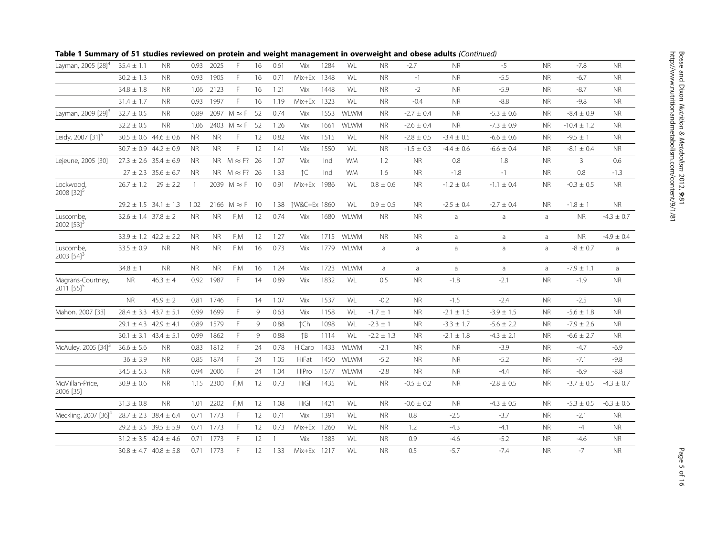|                                             | $30.2 \pm 1.3$              | <b>NR</b>                     | 0.93           | 1905      | F                     | 16 | 0.71         | $Mix+Ex$     | 1348 | WL          | <b>NR</b>      | $-1$           | <b>NR</b>      | $-5.5$         | <b>NR</b> | $-6.7$          | <b>NR</b>      |
|---------------------------------------------|-----------------------------|-------------------------------|----------------|-----------|-----------------------|----|--------------|--------------|------|-------------|----------------|----------------|----------------|----------------|-----------|-----------------|----------------|
|                                             | $34.8 \pm 1.8$              | <b>NR</b>                     | 1.06           | 2123      | F                     | 16 | 1.21         | Mix          | 1448 | WL          | NR.            | $-2$           | <b>NR</b>      | $-5.9$         | <b>NR</b> | $-8.7$          | <b>NR</b>      |
|                                             | $31.4 \pm 1.7$              | <b>NR</b>                     | 0.93           | 1997      | F                     | 16 | 1.19         | $Mix+Ex$     | 1323 | WL          | <b>NR</b>      | $-0.4$         | <b>NR</b>      | $-8.8$         | <b>NR</b> | $-9.8$          | <b>NR</b>      |
| Layman, 2009 [29] <sup>3</sup>              | $32.7 \pm 0.5$              | <b>NR</b>                     | 0.89           |           | 2097 M ≈ F            | 52 | 0.74         | Mix          | 1553 | <b>WLWM</b> | <b>NR</b>      | $-2.7 \pm 0.4$ | <b>NR</b>      | $-5.3 \pm 0.6$ | <b>NR</b> | $-8.4 \pm 0.9$  | <b>NR</b>      |
|                                             | $32.2 \pm 0.5$              | <b>NR</b>                     | 1.06           | 2403      | $M \approx F$         | 52 | 1.26         | Mix          | 1661 | <b>WLWM</b> | <b>NR</b>      | $-2.6 \pm 0.4$ | <b>NR</b>      | $-7.3 \pm 0.9$ | <b>NR</b> | $-10.4 \pm 1.2$ | <b>NR</b>      |
| Leidy, 2007 [31] <sup>5</sup>               |                             | $30.5 \pm 0.6$ 44.6 $\pm$ 0.6 | <b>NR</b>      | <b>NR</b> | F                     | 12 | 0.82         | Mix          | 1515 | WL          | NR.            | $-2.8 \pm 0.5$ | $-3.4 \pm 0.5$ | $-6.6 \pm 0.6$ | <b>NR</b> | $-9.5 \pm 1$    | <b>NR</b>      |
|                                             |                             | $30.7 \pm 0.9$ 44.2 $\pm$ 0.9 | <b>NR</b>      | NR.       | F                     | 12 | 1.41         | Mix          | 1550 | WL          | <b>NR</b>      | $-1.5 \pm 0.3$ | $-4.4 \pm 0.6$ | $-6.6 \pm 0.4$ | <b>NR</b> | $-8.1 \pm 0.4$  | <b>NR</b>      |
| Lejeune, 2005 [30]                          |                             | $27.3 \pm 2.6$ 35.4 $\pm$ 6.9 | <b>NR</b>      |           | NR $M \approx F$ ? 26 |    | 1.07         | Mix          | Ind  | <b>WM</b>   | 1.2            | <b>NR</b>      | 0.8            | 1.8            | <b>NR</b> | 3               | 0.6            |
|                                             |                             | $27 \pm 2.3$ 35.6 $\pm$ 6.7   | <b>NR</b>      | NR.       | $M \approx F$ ? 26    |    | 1.33         | îC           | Ind  | <b>WM</b>   | 1.6            | <b>NR</b>      | $-1.8$         | $-1$           | <b>NR</b> | 0.8             | $-1.3$         |
| Lockwood,<br>2008 [32] <sup>5</sup>         | $26.7 \pm 1.2$              | $29 \pm 2.2$                  | $\overline{1}$ |           | 2039 $M \approx F$ 10 |    | 0.91         | $Mix+Ex$     | 1986 | WL          | $0.8 \pm 0.6$  | <b>NR</b>      | $-1.2 \pm 0.4$ | $-1.1 \pm 0.4$ | <b>NR</b> | $-0.3 \pm 0.5$  | <b>NR</b>      |
|                                             |                             | $29.2 \pm 1.5$ 34.1 $\pm$ 1.3 | 1.02           |           | 2166 $M \approx F$    | 10 | 1.38         | ↑W&C+Ex 1860 |      | WL          | $0.9 \pm 0.5$  | <b>NR</b>      | $-2.5 \pm 0.4$ | $-2.7 \pm 0.4$ | <b>NR</b> | $-1.8 \pm 1$    | <b>NR</b>      |
| Luscombe,<br>2002 [53] <sup>3</sup>         | $32.6 \pm 1.4$ 37.8 $\pm$ 2 |                               | <b>NR</b>      | <b>NR</b> | F,M                   | 12 | 0.74         | Mix          | 1680 | WLWM        | <b>NR</b>      | <b>NR</b>      | a              | a              | a         | <b>NR</b>       | $-4.3 \pm 0.7$ |
|                                             |                             | $33.9 \pm 1.2$ 42.2 $\pm$ 2.2 | <b>NR</b>      | <b>NR</b> | F,M                   | 12 | 1.27         | Mix          | 1715 | <b>WLWM</b> | NR.            | <b>NR</b>      | a              | a              | a         | <b>NR</b>       | $-4.9 \pm 0.4$ |
| Luscombe,<br>2003 [54] <sup>3</sup>         | $33.5 \pm 0.9$              | <b>NR</b>                     | <b>NR</b>      | <b>NR</b> | F,M                   | 16 | 0.73         | Mix          | 1779 | WLWM        | a.             | a              | a              | a              | a         | $-8 \pm 0.7$    | a              |
|                                             | $34.8 \pm 1$                | <b>NR</b>                     | <b>NR</b>      | <b>NR</b> | F,M                   | 16 | 1.24         | Mix          | 1723 | WLWM        | a              | a              | a              | a              | a         | $-7.9 \pm 1.1$  | a              |
| Magrans-Courtney,<br>2011 [55] <sup>5</sup> | <b>NR</b>                   | $46.3 \pm 4$                  | 0.92           | 1987      | F                     | 14 | 0.89         | Mix          | 1832 | WL          | 0.5            | <b>NR</b>      | $-1.8$         | $-2.1$         | <b>NR</b> | $-1.9$          | <b>NR</b>      |
|                                             | <b>NR</b>                   | $45.9 \pm 2$                  | 0.81           | 1746      | F.                    | 14 | 1.07         | Mix          | 1537 | WL          | $-0.2$         | <b>NR</b>      | $-1.5$         | $-2.4$         | <b>NR</b> | $-2.5$          | <b>NR</b>      |
| Mahon, 2007 [33]                            |                             | $28.4 \pm 3.3$ 43.7 $\pm$ 5.1 | 0.99           | 1699      | F                     | 9  | 0.63         | Mix          | 1158 | WL          | $-1.7 \pm 1$   | <b>NR</b>      | $-2.1 \pm 1.5$ | $-3.9 \pm 1.5$ | <b>NR</b> | $-5.6 \pm 1.8$  | <b>NR</b>      |
|                                             |                             | $29.1 \pm 4.3$ 42.9 $\pm$ 4.1 | 0.89           | 1579      | F                     | 9  | 0.88         | ↑Ch          | 1098 | WL          | $-2.3 \pm 1$   | <b>NR</b>      | $-3.3 \pm 1.7$ | $-5.6 \pm 2.2$ | <b>NR</b> | $-7.9 \pm 2.6$  | <b>NR</b>      |
|                                             |                             | $30.1 \pm 3.1$ 43.4 $\pm$ 5.1 | 0.99           | 1862      | F                     | 9  | 0.88         | ↑B           | 1114 | WL          | $-2.2 \pm 1.3$ | <b>NR</b>      | $-2.1 \pm 1.8$ | $-4.3 \pm 2.1$ | <b>NR</b> | $-6.6 \pm 2.7$  | <b>NR</b>      |
| McAuley, 2005 [34] <sup>3</sup>             | $36.6 \pm 5.6$              | <b>NR</b>                     | 0.83           | 1812      | F.                    | 24 | 0.78         | HiCarb       | 1433 | <b>WLWM</b> | $-2.1$         | <b>NR</b>      | <b>NR</b>      | $-3.9$         | <b>NR</b> | $-4.7$          | $-6.9$         |
|                                             | $36 \pm 3.9$                | NR.                           | 0.85           | 1874      | F                     | 24 | 1.05         | HiFat        | 1450 | <b>WLWM</b> | $-5.2$         | <b>NR</b>      | NR.            | $-5.2$         | <b>NR</b> | $-7.1$          | -9.8           |
|                                             | $34.5 \pm 5.3$              | <b>NR</b>                     | 0.94           | 2006      | F                     | 24 | 1.04         | HiPro        | 1577 | <b>WLWM</b> | $-2.8$         | <b>NR</b>      | <b>NR</b>      | $-4.4$         | <b>NR</b> | $-6.9$          | $-8.8$         |
| McMillan-Price,<br>2006 [35]                | $30.9 \pm 0.6$              | <b>NR</b>                     | 1.15           | 2300      | F,M                   | 12 | 0.73         | HiGl         | 1435 | WL          | NR.            | $-0.5 \pm 0.2$ | <b>NR</b>      | $-2.8 \pm 0.5$ | <b>NR</b> | $-3.7 \pm 0.5$  | $-4.3 \pm 0.7$ |
|                                             | $31.3 \pm 0.8$              | <b>NR</b>                     | 1.01           | 2202      | F,M                   | 12 | 1.08         | HiGl         | 1421 | WL          | <b>NR</b>      | $-0.6 \pm 0.2$ | <b>NR</b>      | $-4.3 \pm 0.5$ | <b>NR</b> | $-5.3 \pm 0.5$  | $-6.3 \pm 0.6$ |
| Meckling, 2007 [36] <sup>4</sup>            |                             | $28.7 \pm 2.3$ 38.4 $\pm$ 6.4 | 0.71           | 1773      | F                     | 12 | 0.71         | Mix          | 1391 | WL          | NR.            | 0.8            | $-2.5$         | $-3.7$         | <b>NR</b> | $-2.1$          | <b>NR</b>      |
|                                             |                             | $29.2 \pm 3.5$ 39.5 $\pm$ 5.9 |                | 0.71 1773 | F                     | 12 | 0.73         | $Mix+Ex$     | 1260 | WL          | NR.            | 1.2            | $-4.3$         | $-4.1$         | <b>NR</b> | $-4$            | <b>NR</b>      |
|                                             |                             | $31.2 \pm 3.5$ 42.4 $\pm$ 4.6 | 0.71           | 1773      | F                     | 12 | $\mathbf{1}$ | Mix          | 1383 | WL          | <b>NR</b>      | 0.9            | $-4.6$         | $-5.2$         | <b>NR</b> | $-4.6$          | <b>NR</b>      |
|                                             |                             | $30.8 \pm 4.7$ 40.8 $\pm$ 5.8 |                | 0.71 1773 | F.                    | 12 | 1.33         | $Mix+Ex$     | 1217 | WL          | NR.            | 0.5            | $-5.7$         | $-7.4$         | <b>NR</b> | $-7$            | <b>NR</b>      |

<sup>4</sup> 35.4 ± 1.1 NR 0.93 2025 F 16 0.61 Mix 1284 WL NR -2.7 NR -5 NR -7.8 NR

Table 1 Summary of 51 studies reviewed on protein and weight management in overweight and obese adults (Continued)

Layman, 2005  $[28]^4$  $[28]^4$  $[28]^4$  35.4 ± 1.1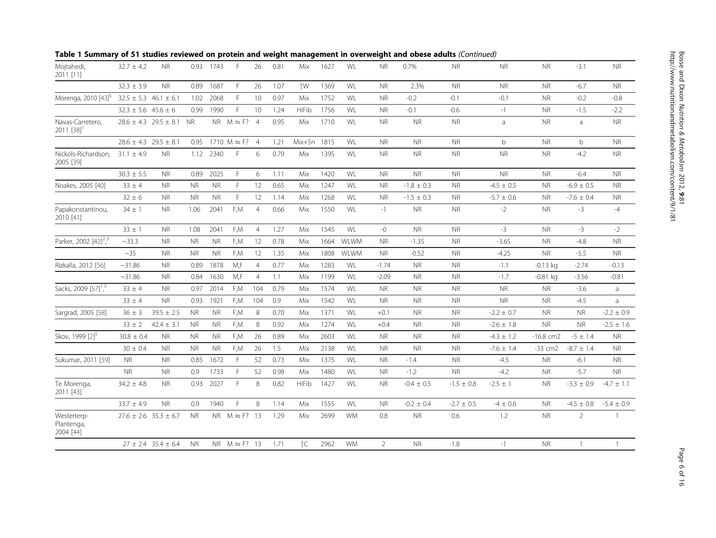| Table 1 Summary of 51 studies reviewed on protein and weight management in overweight and obese adults (Continued) |  |  |  |
|--------------------------------------------------------------------------------------------------------------------|--|--|--|
|--------------------------------------------------------------------------------------------------------------------|--|--|--|

| Mojtahedi,<br>2011 [11]                       | $32.7 \pm 4.2$              | <b>NR</b>                        | 0.93      | 1743      | F.                    | 26              | 0.81 | Mix    | 1627 | WL          | <b>NR</b>      | 0.7%           | <b>NR</b>        | <b>NR</b>      | <b>NR</b>    | $-3.1$         | <b>NR</b>      |
|-----------------------------------------------|-----------------------------|----------------------------------|-----------|-----------|-----------------------|-----------------|------|--------|------|-------------|----------------|----------------|------------------|----------------|--------------|----------------|----------------|
|                                               | $32.3 \pm 3.9$              | <b>NR</b>                        | 0.89      | 1687      | E                     | 26              | 1.07 | 1W     | 1369 | WL          | NR.            | 2.3%           | <b>NR</b>        | <b>NR</b>      | NR.          | $-6.7$         | <b>NR</b>      |
| Morenga, 2010 [43] <sup>5</sup>               |                             | $32.5 \pm 5.3$ 46.1 $\pm$ 6.1    | 1.02      | 2068      | F                     | 10 <sup>°</sup> | 0.97 | Mix    | 1752 | WL          | <b>NR</b>      | $-0.2$         | $-0.1$           | $-0.1$         | NR.          | $-0.2$         | $-0.8$         |
|                                               | $32.3 \pm 5.6$ 45.6 $\pm$ 6 |                                  | 0.99      | 1990      | F.                    | 10 <sup>°</sup> | 1.24 | HiFib  | 1756 | WL          | <b>NR</b>      | $-0.1$         | $-0.6$           | $-1$           | NR.          | $-1.5$         | $-2.2$         |
| Navas-Carretero,<br>2011 [38]                 |                             | $28.6 \pm 4.3$ 29.5 $\pm$ 8.1 NR |           |           | NR $M \approx F$ ?    | $\overline{4}$  | 0.95 | Mix    | 1710 | WL          | <b>NR</b>      | <b>NR</b>      | <b>NR</b>        | a              | <b>NR</b>    | $\mathsf a$    | <b>NR</b>      |
|                                               |                             | $28.6 \pm 4.3$ 29.5 $\pm$ 8.1    | 0.95      |           | 1710 M $\approx$ F?   | $\overline{4}$  | 1.21 | Mix+Sn | 1815 | WL          | <b>NR</b>      | <b>NR</b>      | <b>NR</b>        | $\mathsf b$    | <b>NR</b>    | $\mathbf b$    | <b>NR</b>      |
| Nickols-Richardson,<br>2005 [39]              | $31.1 \pm 4.9$              | <b>NR</b>                        |           | 1.12 2340 | E                     | 6               | 0.79 | Mix    | 1395 | WL          | <b>NR</b>      | <b>NR</b>      | <b>NR</b>        | <b>NR</b>      | <b>NR</b>    | $-4.2$         | <b>NR</b>      |
|                                               | $30.3 \pm 5.5$              | <b>NR</b>                        | 0.89      | 2025      | F                     | 6               | 1.11 | Mix    | 1420 | WL          | <b>NR</b>      | <b>NR</b>      | <b>NR</b>        | <b>NR</b>      | NR.          | $-6.4$         | <b>NR</b>      |
| Noakes, 2005 [40]                             | $33 \pm 4$                  | <b>NR</b>                        | <b>NR</b> | <b>NR</b> | F                     | 12              | 0.65 | Mix    | 1247 | WL          | <b>NR</b>      | $-1.8 \pm 0.3$ | <b>NR</b>        | $-4.5 \pm 0.5$ | NR.          | $-6.9 \pm 0.5$ | <b>NR</b>      |
|                                               | $32 \pm 6$                  | <b>NR</b>                        | <b>NR</b> | <b>NR</b> | F                     | 12              | 1.14 | Mix    | 1268 | WL          | <b>NR</b>      | $-1.5 \pm 0.3$ | <b>NR</b>        | $-5.7 \pm 0.6$ | NR.          | $-7.6 \pm 0.4$ | <b>NR</b>      |
| Papakonstantinou,<br>2010 [41]                | $34 \pm 1$                  | <b>NR</b>                        | 1.06      | 2041      | F,M                   | $\overline{4}$  | 0.66 | Mix    | 1550 | WL          | $-1$           | <b>NR</b>      | <b>NR</b>        | $-2$           | <b>NR</b>    | $-3$           | $-4$           |
|                                               | $33 \pm 1$                  | <b>NR</b>                        | 1.08      | 2041      | F,M                   | $\overline{4}$  | 1.27 | Mix    | 1545 | WL          | $-0$           | <b>NR</b>      | <b>NR</b>        | $-3$           | <b>NR</b>    | $-3$           | $-2$           |
| Parker, 2002 [42] <sup>2</sup> , <sup>3</sup> | ~233.3                      | <b>NR</b>                        | <b>NR</b> | <b>NR</b> | F,M                   | 12              | 0.78 | Mix    | 1664 | <b>WLWM</b> | <b>NR</b>      | $-1.35$        | <b>NR</b>        | $-3.65$        | <b>NR</b>    | $-4.8$         | <b>NR</b>      |
|                                               | $~1$ - 35                   | <b>NR</b>                        | <b>NR</b> | <b>NR</b> | F,M                   | 12              | 1.35 | Mix    | 1808 | <b>WLWM</b> | <b>NR</b>      | $-0.52$        | <b>NR</b>        | $-4.25$        | <b>NR</b>    | $-5.5$         | <b>NR</b>      |
| Rizkalla, 2012 [56]                           | ~31.86                      | <b>NR</b>                        | 0.89      | 1878      | M,F                   | $\overline{4}$  | 0.77 | Mix    | 1283 | WL          | $-1.74$        | <b>NR</b>      | <b>NR</b>        | $-1.1$         | $-0.13$ kg   | $-2.74$        | $-0.13$        |
|                                               | ~1.86                       | <b>NR</b>                        | 0.84      | 1630      | M,F                   | $\overline{4}$  | 1.1  | Mix    | 1199 | WL          | $-2.09$        | <b>NR</b>      | <b>NR</b>        | $-1.7$         | $-0.81$ kg   | $-3.56$        | $-0.81$        |
| Sacks, 2009 [57] <sup>1,5</sup>               | $33 \pm 4$                  | <b>NR</b>                        | 0.97      | 2014      | F,M                   | 104             | 0.79 | Mix    | 1574 | WL          | <b>NR</b>      | <b>NR</b>      | <b>NR</b>        | <b>NR</b>      | <b>NR</b>    | $-3.6$         | a              |
|                                               | $33 \pm 4$                  | <b>NR</b>                        | 0.93      | 1921      | F,M                   | 104             | 0.9  | Mix    | 1542 | WL          | <b>NR</b>      | <b>NR</b>      | <b>NR</b>        | <b>NR</b>      | <b>NR</b>    | $-4.5$         | a              |
| Sargrad, 2005 [58]                            | $36 \pm 3$                  | $39.5 \pm 2.5$                   | <b>NR</b> | <b>NR</b> | F,M                   | 8               | 0.70 | Mix    | 1371 | WL          | $+0.1$         | <b>NR</b>      | <b>NR</b>        | $-2.2 \pm 0.7$ | <b>NR</b>    | <b>NR</b>      | $-2.2 \pm 0.9$ |
|                                               | $33\pm2$                    | $42.4 \pm 3.1$                   | <b>NR</b> | <b>NR</b> | F,M                   | 8               | 0.92 | Mix    | 1274 | WL          | $+0.4$         | <b>NR</b>      | <b>NR</b>        | $-2.6 \pm 1.8$ | <b>NR</b>    | <b>NR</b>      | $-2.5 \pm 1.6$ |
| Skov, 1999 [2] <sup>5</sup>                   | $30.8 \pm 0.4$              | <b>NR</b>                        | <b>NR</b> | <b>NR</b> | F,M                   | 26              | 0.89 | Mix    | 2603 | WL          | <b>NR</b>      | <b>NR</b>      | <b>NR</b>        | $-4.3 \pm 1.2$ | $-16.8$ cm2  | $-5 \pm 1.4$   | <b>NR</b>      |
|                                               | $30 \pm 0.4$                | <b>NR</b>                        | <b>NR</b> | <b>NR</b> | F,M                   | 26              | 1.5  | Mix    | 2138 | WL          | <b>NR</b>      | <b>NR</b>      | <b>NR</b>        | $-7.6 \pm 1.4$ | $-33$ cm $2$ | $-8.7 \pm 1.4$ | <b>NR</b>      |
| Sukumar, 2011 [59]                            | <b>NR</b>                   | <b>NR</b>                        | 0.85      | 1672      | F                     | 52              | 0.73 | Mix    | 1375 | WL          | <b>NR</b>      | $-1.4$         | <b>NR</b>        | $-4.5$         | <b>NR</b>    | $-6.1$         | <b>NR</b>      |
|                                               | <b>NR</b>                   | <b>NR</b>                        | 0.9       | 1733      | F                     | 52              | 0.98 | Mix    | 1480 | WL          | <b>NR</b>      | $-1.2$         | <b>NR</b>        | $-4.2$         | <b>NR</b>    | $-5.7$         | <b>NR</b>      |
| Te Morenga,<br>2011 [43]                      | $34.2 \pm 4.8$              | <b>NR</b>                        | 0.93      | 2027      | F                     | 8               | 0.82 | HiFib  | 1427 | WL          | <b>NR</b>      | $-0.4 \pm 0.5$ | $-1.5\,\pm\,0.8$ | $-2.5 \pm 1$   | NR.          | $-3.3 \pm 0.9$ | $-4.7 \pm 1.1$ |
|                                               | $33.7 \pm 4.9$              | <b>NR</b>                        | 0.9       | 1940      | F.                    | 8               | 1.14 | Mix    | 1555 | WL          | <b>NR</b>      | $-0.2 \pm 0.4$ | $-2.7 \pm 0.5$   | $-4 \pm 0.6$   | <b>NR</b>    | $-4.5 \pm 0.8$ | $-5.4 \pm 0.9$ |
| Westerterp-<br>Plantenga,<br>2004 [44]        |                             | $27.6 \pm 2.6$ 35.3 $\pm$ 6.7    | <b>NR</b> |           | NR $M \approx F$ ? 13 |                 | 1.29 | Mix    | 2699 | <b>WM</b>   | 0.8            | <b>NR</b>      | 0.6              | 1.2            | <b>NR</b>    | $\overline{2}$ | $\overline{1}$ |
|                                               |                             | $27 \pm 2.4$ 35.4 $\pm$ 6.4      | <b>NR</b> |           | NR $M \approx F$ ? 13 |                 | 1.71 | îC     | 2962 | <b>WM</b>   | $\overline{2}$ | <b>NR</b>      | $-1.8$           | $-1$           | <b>NR</b>    | $\overline{1}$ | $\mathbf{1}$   |
|                                               |                             |                                  |           |           |                       |                 |      |        |      |             |                |                |                  |                |              |                |                |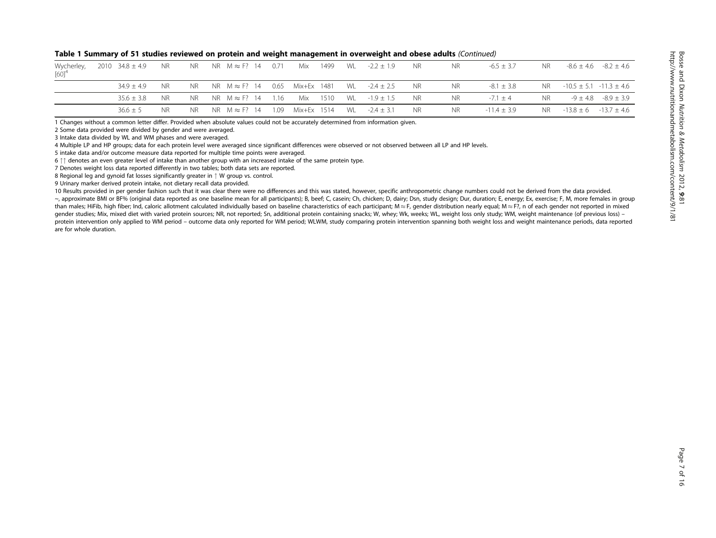| Wycherley, 2010 $34.8 \pm 4.9$<br>[60] <sup>4</sup> |              | NR <sub>1</sub> |  |  |  |  |                                                               | NR 1999. | <b>NR</b> | $-6.5 \pm 3.7$     |      | NR $-8.6 \pm 4.6$ $-8.2 \pm 4.6$ |  |
|-----------------------------------------------------|--------------|-----------------|--|--|--|--|---------------------------------------------------------------|----------|-----------|--------------------|------|----------------------------------|--|
|                                                     | $349 + 49$   | NR.             |  |  |  |  | NR NR M $\approx$ F? 14 0.65 Mix+Ex 1481 WL -2.4 $\pm$ 2.5    | NR       | NR.       | $-8.1 \pm 3.8$     |      | NR $-10.5 \pm 5.1 -11.3 \pm 4.6$ |  |
|                                                     | $35.6 + 3.8$ | NR.             |  |  |  |  | NR NR $M \approx F$ ? 14 1.16 Mix 1510 WL -1.9 $\pm$ 1.5 NR   |          | NR.       | $-7.1 \pm 4$       | NR I | $-9 \pm 4.8$ $-8.9 \pm 3.9$      |  |
|                                                     | $36.6 + 5$   | NR.             |  |  |  |  | NR NR M $\approx$ F? 14 1.09 Mix+Ex 1514 WL -2.4 $\pm$ 3.1 NR |          |           | NR $-11.4 \pm 3.9$ |      | NR $-13.8 \pm 6$ $-13.7 \pm 4.6$ |  |

#### Table 1 Summary of 51 studies reviewed on protein and weight management in overweight and obese adults (Continued)

1 Changes without a common letter differ. Provided when absolute values could not be accurately determined from information given.

2 Some data provided were divided by gender and were averaged.

3 Intake data divided by WL and WM phases and were averaged.

4 Multiple LP and HP groups; data for each protein level were averaged since significant differences were observed or not observed between all LP and HP levels.

5 intake data and/or outcome measure data reported for multiple time points were averaged.

 $6$   $\uparrow$  denotes an even greater level of intake than another group with an increased intake of the same protein type.

7 Denotes weight loss data reported differently in two tables; both data sets are reported.

8 Regional leg and gynoid fat losses significantly greater in  $\uparrow$  W group vs. control.

9 Urinary marker derived protein intake, not dietary recall data provided.

10 Results provided in per gender fashion such that it was clear there were no differences and this was stated, however, specific anthropometric change numbers could not be derived from the data provided. ~, approximate BMI or BF% (original data reported as one baseline mean for all participants); B, beef; C, casein; Ch, chicken; D, dairy; Dsn, study design; Dur, duration; E, energy; Ex, exercise; F, M, more females in group than males; HiFib, high fiber; Ind, caloric allotment calculated individually based on baseline characteristics of each participant; M  $\approx$  F, gender distribution nearly equal; M  $\approx$  F, n of each gender not reported in m gender studies; Mix, mixed diet with varied protein sources; NR, not reported; Sn, additional protein containing snacks; W, whey; Wk, weeks; WL, weight loss only study; WM, weight maintenance (of previous loss) – protein intervention only applied to WM period – outcome data only reported for WM period; WLWM, study comparing protein intervention spanning both weight loss and weight maintenance periods, data reported are for whole duration.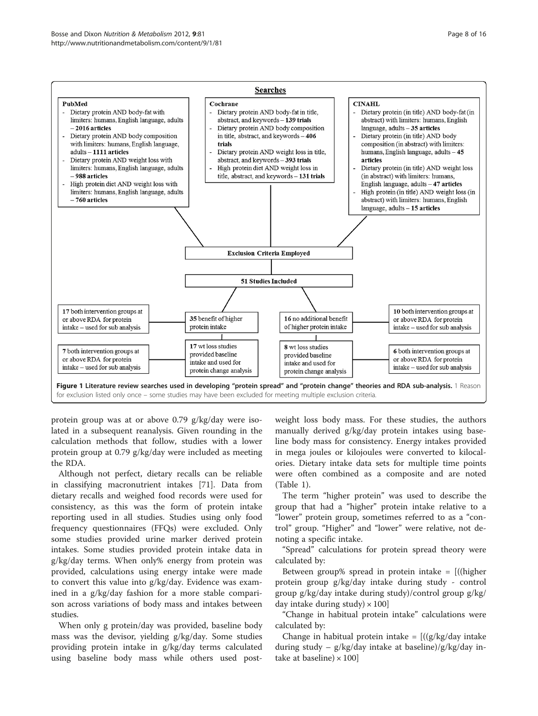<span id="page-7-0"></span>

protein group was at or above 0.79 g/kg/day were isolated in a subsequent reanalysis. Given rounding in the calculation methods that follow, studies with a lower protein group at 0.79 g/kg/day were included as meeting the RDA.

Although not perfect, dietary recalls can be reliable in classifying macronutrient intakes [\[71](#page-15-0)]. Data from dietary recalls and weighed food records were used for consistency, as this was the form of protein intake reporting used in all studies. Studies using only food frequency questionnaires (FFQs) were excluded. Only some studies provided urine marker derived protein intakes. Some studies provided protein intake data in g/kg/day terms. When only% energy from protein was provided, calculations using energy intake were made to convert this value into g/kg/day. Evidence was examined in a g/kg/day fashion for a more stable comparison across variations of body mass and intakes between studies.

When only g protein/day was provided, baseline body mass was the devisor, yielding g/kg/day. Some studies providing protein intake in g/kg/day terms calculated using baseline body mass while others used post-

weight loss body mass. For these studies, the authors manually derived g/kg/day protein intakes using baseline body mass for consistency. Energy intakes provided in mega joules or kilojoules were converted to kilocalories. Dietary intake data sets for multiple time points were often combined as a composite and are noted (Table [1\)](#page-2-0).

The term "higher protein" was used to describe the group that had a "higher" protein intake relative to a "lower" protein group, sometimes referred to as a "control" group. "Higher" and "lower" were relative, not denoting a specific intake.

"Spread" calculations for protein spread theory were calculated by:

Between group% spread in protein intake =  $\frac{1}{(higher)}$ protein group g/kg/day intake during study - control group g/kg/day intake during study)/control group g/kg/ day intake during study)  $\times$  100]

"Change in habitual protein intake" calculations were calculated by:

Change in habitual protein intake =  $\frac{1}{g/g/day}$  intake during study –  $g/kg/day$  intake at baseline)/ $g/kg/day$  intake at baseline)  $\times$  100]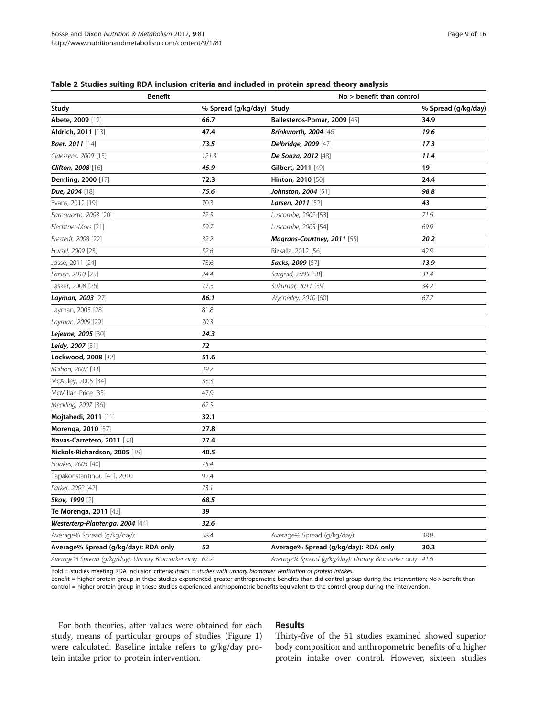#### <span id="page-8-0"></span>Table 2 Studies suiting RDA inclusion criteria and included in protein spread theory analysis

| <b>Benefit</b>                                     |                           | No > benefit than control                          |                     |
|----------------------------------------------------|---------------------------|----------------------------------------------------|---------------------|
| Study                                              | % Spread (g/kg/day) Study |                                                    | % Spread (g/kg/day) |
| Abete, 2009 [12]                                   | 66.7                      | Ballesteros-Pomar, 2009 [45]                       | 34.9                |
| Aldrich, 2011 [13]                                 | 47.4                      | Brinkworth, 2004 [46]                              | 19.6                |
| Baer, 2011 [14]                                    | 73.5                      | Delbridge, 2009 [47]                               | 17.3                |
| Claessens, 2009 [15]                               | 121.3                     | De Souza, 2012 [48]                                | 11.4                |
| Clifton, 2008 [16]                                 | 45.9                      | Gilbert, 2011 [49]                                 | 19                  |
| Demling, 2000 [17]                                 | 72.3                      | Hinton, 2010 [50]                                  | 24.4                |
| Due, 2004 [18]                                     | 75.6                      | Johnston, 2004 [51]                                | 98.8                |
| Evans, 2012 [19]                                   | 70.3                      | Larsen, 2011 [52]                                  | 43                  |
| Farnsworth, 2003 [20]                              | 72.5                      | Luscombe, 2002 [53]                                | 71.6                |
| Flechtner-Mors [21]                                | 59.7                      | Luscombe, 2003 [54]                                | 69.9                |
| Frestedt, 2008 [22]                                | 32.2                      | Magrans-Courtney, 2011 [55]                        | 20.2                |
| Hursel, 2009 [23]                                  | 52.6                      | Rizkalla, 2012 [56]                                | 42.9                |
| Josse, 2011 [24]                                   | 73.6                      | Sacks, 2009 [57]                                   | 13.9                |
| Larsen, 2010 [25]                                  | 24.4                      | Sargrad, 2005 [58]                                 | 31.4                |
| Lasker, 2008 [26]                                  | 77.5                      | Sukumar, 2011 [59]                                 | 34.2                |
| Layman, 2003 <sup>[27]</sup>                       | 86.1                      | Wycherley, 2010 [60]                               | 67.7                |
| Layman, 2005 [28]                                  | 81.8                      |                                                    |                     |
| Layman, 2009 [29]                                  | 70.3                      |                                                    |                     |
| Lejeune, 2005 <sup>[30]</sup>                      | 24.3                      |                                                    |                     |
| Leidy, 2007 <sup>[31]</sup>                        | 72                        |                                                    |                     |
| Lockwood, 2008 [32]                                | 51.6                      |                                                    |                     |
| Mahon, 2007 [33]                                   | 39.7                      |                                                    |                     |
| McAuley, 2005 [34]                                 | 33.3                      |                                                    |                     |
| McMillan-Price [35]                                | 47.9                      |                                                    |                     |
| Meckling, 2007 [36]                                | 62.5                      |                                                    |                     |
| Mojtahedi, 2011 [11]                               | 32.1                      |                                                    |                     |
| Morenga, 2010 [37]                                 | 27.8                      |                                                    |                     |
| Navas-Carretero, 2011 [38]                         | 27.4                      |                                                    |                     |
| Nickols-Richardson, 2005 [39]                      | 40.5                      |                                                    |                     |
| Noakes, 2005 [40]                                  | 75.4                      |                                                    |                     |
| Papakonstantinou [41], 2010                        | 92.4                      |                                                    |                     |
| Parker, 2002 [42]                                  | 73.1                      |                                                    |                     |
| Skov, 1999 [2]                                     | 68.5                      |                                                    |                     |
| Te Morenga, 2011 [43]                              | 39                        |                                                    |                     |
| Westerterp-Plantenga, 2004 [44]                    | 32.6                      |                                                    |                     |
| Average% Spread (g/kg/day):                        | 58.4                      | Average% Spread (g/kg/day):                        | 38.8                |
| Average% Spread (g/kg/day): RDA only               | 52                        | Average% Spread (g/kg/day): RDA only               | 30.3                |
| Average% Spread (g/kg/day): Urinary Biomarker only | 62.7                      | Average% Spread (g/kg/day): Urinary Biomarker only | 41.6                |

Bold = studies meeting RDA inclusion criteria; Italics = studies with urinary biomarker verification of protein intakes.

Benefit = higher protein group in these studies experienced greater anthropometric benefits than did control group during the intervention; No > benefit than

control = higher protein group in these studies experienced anthropometric benefits equivalent to the control group during the intervention.

For both theories, after values were obtained for each study, means of particular groups of studies (Figure [1](#page-7-0)) were calculated. Baseline intake refers to g/kg/day protein intake prior to protein intervention.

# Results

Thirty-five of the 51 studies examined showed superior body composition and anthropometric benefits of a higher protein intake over control. However, sixteen studies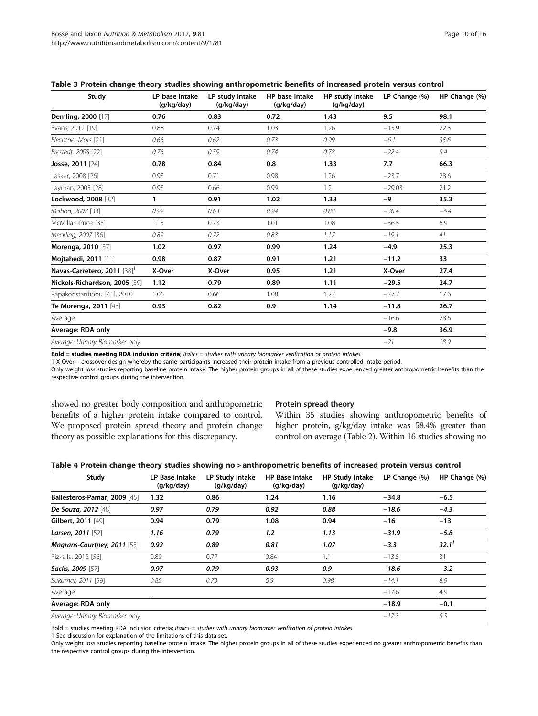<span id="page-9-0"></span>

|  |  | Table 3 Protein change theory studies showing anthropometric benefits of increased protein versus control |  |
|--|--|-----------------------------------------------------------------------------------------------------------|--|
|--|--|-----------------------------------------------------------------------------------------------------------|--|

| Study                                   | LP base intake<br>(g/kg/day) | LP study intake<br>(q/kg/day) | HP base intake<br>(g/kg/day) | HP study intake<br>(g/kg/day) | LP Change (%) | HP Change (%) |
|-----------------------------------------|------------------------------|-------------------------------|------------------------------|-------------------------------|---------------|---------------|
| Demling, 2000 [17]                      | 0.76                         | 0.83                          | 0.72                         | 1.43                          | 9.5           | 98.1          |
| Evans, 2012 [19]                        | 0.88                         | 0.74                          | 1.03                         | 1.26                          | $-15.9$       | 22.3          |
| Flechtner-Mors [21]                     | 0.66                         | 0.62                          | 0.73                         | 0.99                          | $-6.1$        | 35.6          |
| Frestedt, 2008 [22]                     | 0.76                         | 0.59                          | 0.74                         | 0.78                          | $-22.4$       | 5.4           |
| Josse, 2011 [24]                        | 0.78                         | 0.84                          | 0.8                          | 1.33                          | 7.7           | 66.3          |
| Lasker, 2008 [26]                       | 0.93                         | 0.71                          | 0.98                         | 1.26                          | $-23.7$       | 28.6          |
| Layman, 2005 [28]                       | 0.93                         | 0.66                          | 0.99                         | 1.2                           | $-29.03$      | 21.2          |
| Lockwood, 2008 [32]                     | 1                            | 0.91                          | 1.02                         | 1.38                          | -9            | 35.3          |
| Mahon, 2007 [33]                        | 0.99                         | 0.63                          | 0.94                         | 0.88                          | $-36.4$       | $-6.4$        |
| McMillan-Price [35]                     | 1.15                         | 0.73                          | 1.01                         | 1.08                          | $-36.5$       | 6.9           |
| Meckling, 2007 [36]                     | 0.89                         | 0.72                          | 0.83                         | 1.17                          | $-19.1$       | 41            |
| Morenga, 2010 [37]                      | 1.02                         | 0.97                          | 0.99                         | 1.24                          | $-4.9$        | 25.3          |
| Mojtahedi, 2011 [11]                    | 0.98                         | 0.87                          | 0.91                         | 1.21                          | $-11.2$       | 33            |
| Navas-Carretero, 2011 [38] <sup>1</sup> | X-Over                       | X-Over                        | 0.95                         | 1.21                          | X-Over        | 27.4          |
| Nickols-Richardson, 2005 [39]           | 1.12                         | 0.79                          | 0.89                         | 1.11                          | $-29.5$       | 24.7          |
| Papakonstantinou [41], 2010             | 1.06                         | 0.66                          | 1.08                         | 1.27                          | $-37.7$       | 17.6          |
| <b>Te Morenga, 2011</b> [43]            | 0.93                         | 0.82                          | 0.9                          | 1.14                          | $-11.8$       | 26.7          |
| Average                                 |                              |                               |                              |                               | $-16.6$       | 28.6          |
| Average: RDA only                       |                              |                               |                              |                               | $-9.8$        | 36.9          |
| Average: Urinary Biomarker only         |                              |                               |                              |                               | $-21$         | 18.9          |

Bold = studies meeting RDA inclusion criteria; Italics = studies with urinary biomarker verification of protein intakes.

1 X-Over – crossover design whereby the same participants increased their protein intake from a previous controlled intake period.

Only weight loss studies reporting baseline protein intake. The higher protein groups in all of these studies experienced greater anthropometric benefits than the respective control groups during the intervention.

showed no greater body composition and anthropometric benefits of a higher protein intake compared to control. We proposed protein spread theory and protein change theory as possible explanations for this discrepancy.

#### Protein spread theory

Within 35 studies showing anthropometric benefits of higher protein, g/kg/day intake was 58.4% greater than control on average (Table [2](#page-8-0)). Within 16 studies showing no

|  |  |  |  | Table 4 Protein change theory studies showing no > anthropometric benefits of increased protein versus control |
|--|--|--|--|----------------------------------------------------------------------------------------------------------------|
|--|--|--|--|----------------------------------------------------------------------------------------------------------------|

| Study                           | LP Base Intake<br>(q/kg/day) | LP Study Intake<br>(q/kg/day) | <b>HP Base Intake</b><br>(q/kg/day) | <b>HP Study Intake</b><br>(q/kg/day) | LP Change $(\%)$ | HP Change (%)     |
|---------------------------------|------------------------------|-------------------------------|-------------------------------------|--------------------------------------|------------------|-------------------|
| Ballesteros-Pamar, 2009 [45]    | 1.32                         | 0.86                          | 1.24                                | 1.16                                 | $-34.8$          | $-6.5$            |
| De Souza, 2012 [48]             | 0.97                         | 0.79                          | 0.92                                | 0.88                                 | $-18.6$          | $-4.3$            |
| Gilbert, 2011 [49]              | 0.94                         | 0.79                          | 1.08                                | 0.94                                 | $-16$            | $-13$             |
| Larsen, 2011 [52]               | 1.16                         | 0.79                          | 1.2                                 | 1.13                                 | $-31.9$          | $-5.8$            |
| Magrans-Courtney, 2011 [55]     | 0.92                         | 0.89                          | 0.81                                | 1.07                                 | $-3.3$           | 32.1 <sup>7</sup> |
| Rizkalla, 2012 [56]             | 0.89                         | 0.77                          | 0.84                                | 1.1                                  | $-13.5$          | 31                |
| Sacks, 2009 [57]                | 0.97                         | 0.79                          | 0.93                                | 0.9                                  | $-18.6$          | $-3.2$            |
| Sukumar, 2011 [59]              | 0.85                         | 0.73                          | 0.9                                 | 0.98                                 | $-14.1$          | 8.9               |
| Average                         |                              |                               |                                     |                                      | $-17.6$          | 4.9               |
| Average: RDA only               |                              |                               |                                     |                                      | $-18.9$          | $-0.1$            |
| Average: Urinary Biomarker only |                              |                               |                                     |                                      | $-17.3$          | 5.5               |

Bold = studies meeting RDA inclusion criteria; Italics = studies with urinary biomarker verification of protein intakes.

1 See discussion for explanation of the limitations of this data set.

Only weight loss studies reporting baseline protein intake. The higher protein groups in all of these studies experienced no greater anthropometric benefits than the respective control groups during the intervention.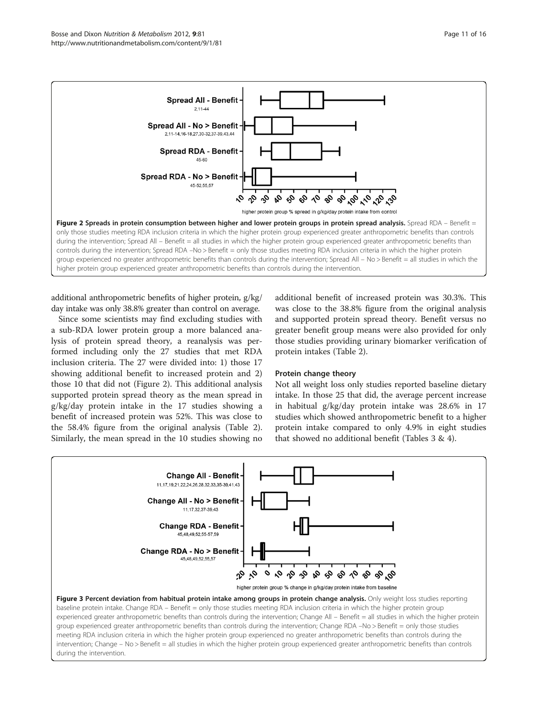<span id="page-10-0"></span>

additional anthropometric benefits of higher protein, g/kg/ day intake was only 38.8% greater than control on average.

Since some scientists may find excluding studies with a sub-RDA lower protein group a more balanced analysis of protein spread theory, a reanalysis was performed including only the 27 studies that met RDA inclusion criteria. The 27 were divided into: 1) those 17 showing additional benefit to increased protein and 2) those 10 that did not (Figure 2). This additional analysis supported protein spread theory as the mean spread in g/kg/day protein intake in the 17 studies showing a benefit of increased protein was 52%. This was close to the 58.4% figure from the original analysis (Table [2](#page-8-0)). Similarly, the mean spread in the 10 studies showing no additional benefit of increased protein was 30.3%. This was close to the 38.8% figure from the original analysis and supported protein spread theory. Benefit versus no greater benefit group means were also provided for only those studies providing urinary biomarker verification of protein intakes (Table [2\)](#page-8-0).

# Protein change theory

Not all weight loss only studies reported baseline dietary intake. In those 25 that did, the average percent increase in habitual g/kg/day protein intake was 28.6% in 17 studies which showed anthropometric benefit to a higher protein intake compared to only 4.9% in eight studies that showed no additional benefit (Tables [3](#page-9-0) & [4](#page-9-0)).

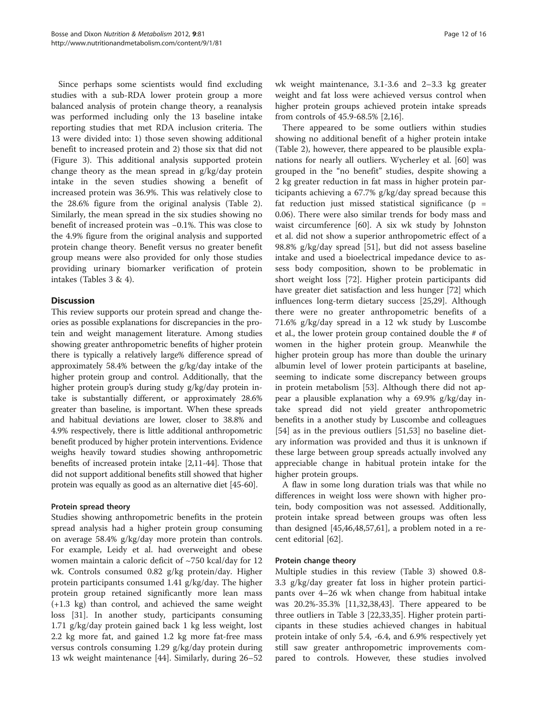Since perhaps some scientists would find excluding studies with a sub-RDA lower protein group a more balanced analysis of protein change theory, a reanalysis was performed including only the 13 baseline intake reporting studies that met RDA inclusion criteria. The 13 were divided into: 1) those seven showing additional benefit to increased protein and 2) those six that did not (Figure [3](#page-10-0)). This additional analysis supported protein change theory as the mean spread in g/kg/day protein intake in the seven studies showing a benefit of increased protein was 36.9%. This was relatively close to the 28.6% figure from the original analysis (Table [2](#page-8-0)). Similarly, the mean spread in the six studies showing no benefit of increased protein was −0.1%. This was close to the 4.9% figure from the original analysis and supported protein change theory. Benefit versus no greater benefit group means were also provided for only those studies providing urinary biomarker verification of protein intakes (Tables [3](#page-9-0) & [4](#page-9-0)).

# **Discussion**

This review supports our protein spread and change theories as possible explanations for discrepancies in the protein and weight management literature. Among studies showing greater anthropometric benefits of higher protein there is typically a relatively large% difference spread of approximately 58.4% between the g/kg/day intake of the higher protein group and control. Additionally, that the higher protein group's during study g/kg/day protein intake is substantially different, or approximately 28.6% greater than baseline, is important. When these spreads and habitual deviations are lower, closer to 38.8% and 4.9% respectively, there is little additional anthropometric benefit produced by higher protein interventions. Evidence weighs heavily toward studies showing anthropometric benefits of increased protein intake [[2,11](#page-13-0)[-44\]](#page-14-0). Those that did not support additional benefits still showed that higher protein was equally as good as an alternative diet [\[45](#page-14-0)[-60](#page-15-0)].

# Protein spread theory

Studies showing anthropometric benefits in the protein spread analysis had a higher protein group consuming on average 58.4% g/kg/day more protein than controls. For example, Leidy et al. had overweight and obese women maintain a caloric deficit of  $\sim$ 750 kcal/day for 12 wk. Controls consumed 0.82 g/kg protein/day. Higher protein participants consumed 1.41 g/kg/day. The higher protein group retained significantly more lean mass (+1.3 kg) than control, and achieved the same weight loss [\[31](#page-14-0)]. In another study, participants consuming 1.71 g/kg/day protein gained back 1 kg less weight, lost 2.2 kg more fat, and gained 1.2 kg more fat-free mass versus controls consuming 1.29 g/kg/day protein during 13 wk weight maintenance [[44](#page-14-0)]. Similarly, during 26–52 wk weight maintenance, 3.1-3.6 and 2–3.3 kg greater weight and fat loss were achieved versus control when higher protein groups achieved protein intake spreads from controls of 45.9-68.5% [[2,](#page-13-0)[16\]](#page-14-0).

There appeared to be some outliers within studies showing no additional benefit of a higher protein intake (Table [2](#page-8-0)), however, there appeared to be plausible explanations for nearly all outliers. Wycherley et al. [[60\]](#page-15-0) was grouped in the "no benefit" studies, despite showing a 2 kg greater reduction in fat mass in higher protein participants achieving a 67.7% g/kg/day spread because this fat reduction just missed statistical significance  $(p =$ 0.06). There were also similar trends for body mass and waist circumference [\[60](#page-15-0)]. A six wk study by Johnston et al. did not show a superior anthropometric effect of a 98.8% g/kg/day spread [\[51\]](#page-14-0), but did not assess baseline intake and used a bioelectrical impedance device to assess body composition, shown to be problematic in short weight loss [[72](#page-15-0)]. Higher protein participants did have greater diet satisfaction and less hunger [[72\]](#page-15-0) which influences long-term dietary success [[25,29\]](#page-14-0). Although there were no greater anthropometric benefits of a 71.6% g/kg/day spread in a 12 wk study by Luscombe et al., the lower protein group contained double the # of women in the higher protein group. Meanwhile the higher protein group has more than double the urinary albumin level of lower protein participants at baseline, seeming to indicate some discrepancy between groups in protein metabolism [[53](#page-14-0)]. Although there did not appear a plausible explanation why a 69.9% g/kg/day intake spread did not yield greater anthropometric benefits in a another study by Luscombe and colleagues [[54\]](#page-15-0) as in the previous outliers [[51](#page-14-0),[53](#page-14-0)] no baseline dietary information was provided and thus it is unknown if these large between group spreads actually involved any appreciable change in habitual protein intake for the higher protein groups.

A flaw in some long duration trials was that while no differences in weight loss were shown with higher protein, body composition was not assessed. Additionally, protein intake spread between groups was often less than designed [[45,46,48,](#page-14-0)[57,61\]](#page-15-0), a problem noted in a recent editorial [[62\]](#page-15-0).

# Protein change theory

Multiple studies in this review (Table [3\)](#page-9-0) showed 0.8- 3.3 g/kg/day greater fat loss in higher protein participants over 4–26 wk when change from habitual intake was 20.2%-35.3% [[11](#page-13-0),[32,38,43](#page-14-0)]. There appeared to be three outliers in Table [3](#page-9-0) [[22,33,35\]](#page-14-0). Higher protein participants in these studies achieved changes in habitual protein intake of only 5.4, -6.4, and 6.9% respectively yet still saw greater anthropometric improvements compared to controls. However, these studies involved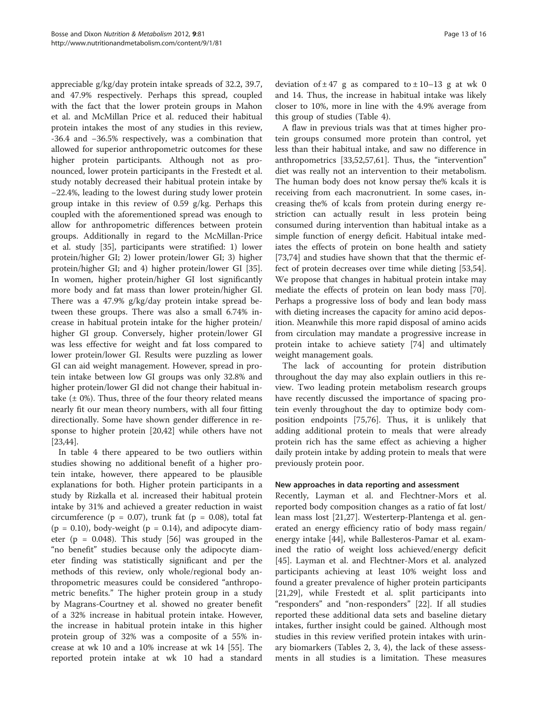appreciable g/kg/day protein intake spreads of 32.2, 39.7, and 47.9% respectively. Perhaps this spread, coupled with the fact that the lower protein groups in Mahon et al. and McMillan Price et al. reduced their habitual protein intakes the most of any studies in this review, -36.4 and −36.5% respectively, was a combination that allowed for superior anthropometric outcomes for these higher protein participants. Although not as pronounced, lower protein participants in the Frestedt et al. study notably decreased their habitual protein intake by −22.4%, leading to the lowest during study lower protein group intake in this review of 0.59 g/kg. Perhaps this coupled with the aforementioned spread was enough to allow for anthropometric differences between protein groups. Additionally in regard to the McMillan-Price et al. study [[35\]](#page-14-0), participants were stratified: 1) lower protein/higher GI; 2) lower protein/lower GI; 3) higher protein/higher GI; and 4) higher protein/lower GI [\[35](#page-14-0)]. In women, higher protein/higher GI lost significantly more body and fat mass than lower protein/higher GI. There was a 47.9% g/kg/day protein intake spread between these groups. There was also a small 6.74% increase in habitual protein intake for the higher protein/ higher GI group. Conversely, higher protein/lower GI was less effective for weight and fat loss compared to lower protein/lower GI. Results were puzzling as lower GI can aid weight management. However, spread in protein intake between low GI groups was only 32.8% and higher protein/lower GI did not change their habitual intake  $(\pm 0\%)$ . Thus, three of the four theory related means nearly fit our mean theory numbers, with all four fitting directionally. Some have shown gender difference in response to higher protein [[20,42\]](#page-14-0) while others have not [[23,44\]](#page-14-0).

In table [4](#page-9-0) there appeared to be two outliers within studies showing no additional benefit of a higher protein intake, however, there appeared to be plausible explanations for both. Higher protein participants in a study by Rizkalla et al. increased their habitual protein intake by 31% and achieved a greater reduction in waist circumference ( $p = 0.07$ ), trunk fat ( $p = 0.08$ ), total fat  $(p = 0.10)$ , body-weight  $(p = 0.14)$ , and adipocyte diameter ( $p = 0.048$ ). This study [\[56](#page-15-0)] was grouped in the "no benefit" studies because only the adipocyte diameter finding was statistically significant and per the methods of this review, only whole/regional body anthropometric measures could be considered "anthropometric benefits." The higher protein group in a study by Magrans-Courtney et al. showed no greater benefit of a 32% increase in habitual protein intake. However, the increase in habitual protein intake in this higher protein group of 32% was a composite of a 55% increase at wk 10 and a 10% increase at wk 14 [\[55](#page-15-0)]. The reported protein intake at wk 10 had a standard deviation of  $\pm$  47 g as compared to  $\pm$  10–13 g at wk 0 and 14. Thus, the increase in habitual intake was likely closer to 10%, more in line with the 4.9% average from this group of studies (Table [4](#page-9-0)).

A flaw in previous trials was that at times higher protein groups consumed more protein than control, yet less than their habitual intake, and saw no difference in anthropometrics [\[33,52](#page-14-0)[,57,61\]](#page-15-0). Thus, the "intervention" diet was really not an intervention to their metabolism. The human body does not know persay the% kcals it is receiving from each macronutrient. In some cases, increasing the% of kcals from protein during energy restriction can actually result in less protein being consumed during intervention than habitual intake as a simple function of energy deficit. Habitual intake mediates the effects of protein on bone health and satiety [[73,74\]](#page-15-0) and studies have shown that that the thermic effect of protein decreases over time while dieting [\[53](#page-14-0)[,54](#page-15-0)]. We propose that changes in habitual protein intake may mediate the effects of protein on lean body mass [\[70](#page-15-0)]. Perhaps a progressive loss of body and lean body mass with dieting increases the capacity for amino acid deposition. Meanwhile this more rapid disposal of amino acids from circulation may mandate a progressive increase in protein intake to achieve satiety [\[74](#page-15-0)] and ultimately weight management goals.

The lack of accounting for protein distribution throughout the day may also explain outliers in this review. Two leading protein metabolism research groups have recently discussed the importance of spacing protein evenly throughout the day to optimize body composition endpoints [[75](#page-15-0),[76](#page-15-0)]. Thus, it is unlikely that adding additional protein to meals that were already protein rich has the same effect as achieving a higher daily protein intake by adding protein to meals that were previously protein poor.

# New approaches in data reporting and assessment

Recently, Layman et al. and Flechtner-Mors et al. reported body composition changes as a ratio of fat lost/ lean mass lost [\[21,27](#page-14-0)]. Westerterp-Plantenga et al. generated an energy efficiency ratio of body mass regain/ energy intake [\[44](#page-14-0)], while Ballesteros-Pamar et al. examined the ratio of weight loss achieved/energy deficit [[45\]](#page-14-0). Layman et al. and Flechtner-Mors et al. analyzed participants achieving at least 10% weight loss and found a greater prevalence of higher protein participants [[21,29\]](#page-14-0), while Frestedt et al. split participants into "responders" and "non-responders" [\[22\]](#page-14-0). If all studies reported these additional data sets and baseline dietary intakes, further insight could be gained. Although most studies in this review verified protein intakes with urinary biomarkers (Tables [2](#page-8-0), [3, 4](#page-9-0)), the lack of these assessments in all studies is a limitation. These measures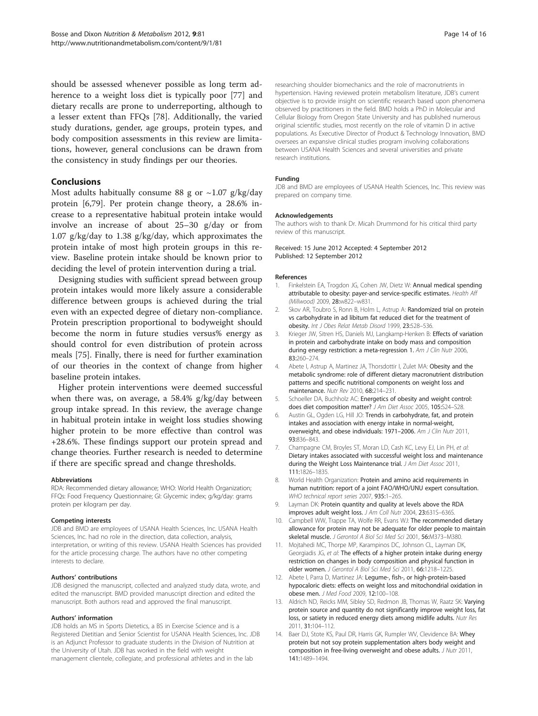<span id="page-13-0"></span>should be assessed whenever possible as long term adherence to a weight loss diet is typically poor [\[77](#page-15-0)] and dietary recalls are prone to underreporting, although to a lesser extent than FFQs [[78\]](#page-15-0). Additionally, the varied study durations, gender, age groups, protein types, and body composition assessments in this review are limitations, however, general conclusions can be drawn from the consistency in study findings per our theories.

# Conclusions

Most adults habitually consume 88 g or  $\sim$ 1.07 g/kg/day protein [6[,79](#page-15-0)]. Per protein change theory, a 28.6% increase to a representative habitual protein intake would involve an increase of about 25–30 g/day or from 1.07 g/kg/day to 1.38 g/kg/day, which approximates the protein intake of most high protein groups in this review. Baseline protein intake should be known prior to deciding the level of protein intervention during a trial.

Designing studies with sufficient spread between group protein intakes would more likely assure a considerable difference between groups is achieved during the trial even with an expected degree of dietary non-compliance. Protein prescription proportional to bodyweight should become the norm in future studies versus% energy as should control for even distribution of protein across meals [\[75](#page-15-0)]. Finally, there is need for further examination of our theories in the context of change from higher baseline protein intakes.

Higher protein interventions were deemed successful when there was, on average, a 58.4% g/kg/day between group intake spread. In this review, the average change in habitual protein intake in weight loss studies showing higher protein to be more effective than control was +28.6%. These findings support our protein spread and change theories. Further research is needed to determine if there are specific spread and change thresholds.

#### Abbreviations

RDA: Recommended dietary allowance; WHO: World Health Organization; FFQs: Food Frequency Questionnaire; GI: Glycemic index; g/kg/day: grams protein per kilogram per day.

#### Competing interests

JDB and BMD are employees of USANA Health Sciences, Inc. USANA Health Sciences, Inc. had no role in the direction, data collection, analysis, interpretation, or writing of this review. USANA Health Sciences has provided for the article processing charge. The authors have no other competing interests to declare.

#### Authors' contributions

JDB designed the manuscript, collected and analyzed study data, wrote, and edited the manuscript. BMD provided manuscript direction and edited the manuscript. Both authors read and approved the final manuscript.

#### Authors' information

JDB holds an MS in Sports Dietetics, a BS in Exercise Science and is a Registered Dietitian and Senior Scientist for USANA Health Sciences, Inc. JDB is an Adjunct Professor to graduate students in the Division of Nutrition at the University of Utah. JDB has worked in the field with weight management clientele, collegiate, and professional athletes and in the lab

researching shoulder biomechanics and the role of macronutrients in hypertension. Having reviewed protein metabolism literature, JDB's current objective is to provide insight on scientific research based upon phenomena observed by practitioners in the field. BMD holds a PhD in Molecular and Cellular Biology from Oregon State University and has published numerous original scientific studies, most recently on the role of vitamin D in active populations. As Executive Director of Product & Technology Innovation, BMD oversees an expansive clinical studies program involving collaborations between USANA Health Sciences and several universities and private research institutions.

#### Funding

JDB and BMD are employees of USANA Health Sciences, Inc. This review was prepared on company time.

#### Acknowledgements

The authors wish to thank Dr. Micah Drummond for his critical third party review of this manuscript.

#### Received: 15 June 2012 Accepted: 4 September 2012 Published: 12 September 2012

#### References

- Finkelstein EA, Trogdon JG, Cohen JW, Dietz W: Annual medical spending attributable to obesity: payer-and service-specific estimates. Health Aff (Millwood) 2009, 28:w822–w831.
- Skov AR, Toubro S, Ronn B, Holm L, Astrup A: Randomized trial on protein vs carbohydrate in ad libitum fat reduced diet for the treatment of obesity. Int J Obes Relat Metab Disord 1999, 23:528–536.
- 3. Krieger JW, Sitren HS, Daniels MJ, Langkamp-Henken B: Effects of variation in protein and carbohydrate intake on body mass and composition during energy restriction: a meta-regression 1. Am J Clin Nutr 2006, 83:260–274.
- 4. Abete I, Astrup A, Martinez JA, Thorsdottir I, Zulet MA: Obesity and the metabolic syndrome: role of different dietary macronutrient distribution patterns and specific nutritional components on weight loss and maintenance. Nutr Rev 2010, 68:214–231.
- 5. Schoeller DA, Buchholz AC: Energetics of obesity and weight control: does diet composition matter? J Am Diet Assoc 2005, 105:S24–S28.
- 6. Austin GL, Ogden LG, Hill JO: Trends in carbohydrate, fat, and protein intakes and association with energy intake in normal-weight, overweight, and obese individuals: 1971–2006. Am J Clin Nutr 2011, 93:836–843.
- 7. Champagne CM, Broyles ST, Moran LD, Cash KC, Levy EJ, Lin PH, et al: Dietary intakes associated with successful weight loss and maintenance during the Weight Loss Maintenance trial. J Am Diet Assoc 2011, 111:1826–1835.
- World Health Organization: Protein and amino acid requirements in human nutrition: report of a joint FAO/WHO/UNU expert consultation. WHO technical report series 2007, 935:1–265.
- 9. Layman DK: Protein quantity and quality at levels above the RDA improves adult weight loss. J Am Coll Nutr 2004, 23:631S-636S.
- 10. Campbell WW, Trappe TA, Wolfe RR, Evans WJ: The recommended dietary allowance for protein may not be adequate for older people to maintain skeletal muscle. J Gerontol A Biol Sci Med Sci 2001, 56:M373-M380.
- 11. Mojtahedi MC, Thorpe MP, Karampinos DC, Johnson CL, Layman DK, Georgiadis JG, et al: The effects of a higher protein intake during energy restriction on changes in body composition and physical function in older women. J Gerontol A Biol Sci Med Sci 2011, 66:1218–1225.
- 12. Abete I, Parra D, Martinez JA: Legume-, fish-, or high-protein-based hypocaloric diets: effects on weight loss and mitochondrial oxidation in obese men. J Med Food 2009, 12:100–108.
- 13. Aldrich ND, Reicks MM, Sibley SD, Redmon JB, Thomas W, Raatz SK: Varying protein source and quantity do not significantly improve weight loss, fat loss, or satiety in reduced energy diets among midlife adults. Nutr Res 2011, 31:104–112.
- 14. Baer DJ, Stote KS, Paul DR, Harris GK, Rumpler WV, Clevidence BA: Whey protein but not soy protein supplementation alters body weight and composition in free-living overweight and obese adults. J Nutr 2011, 141:1489–1494.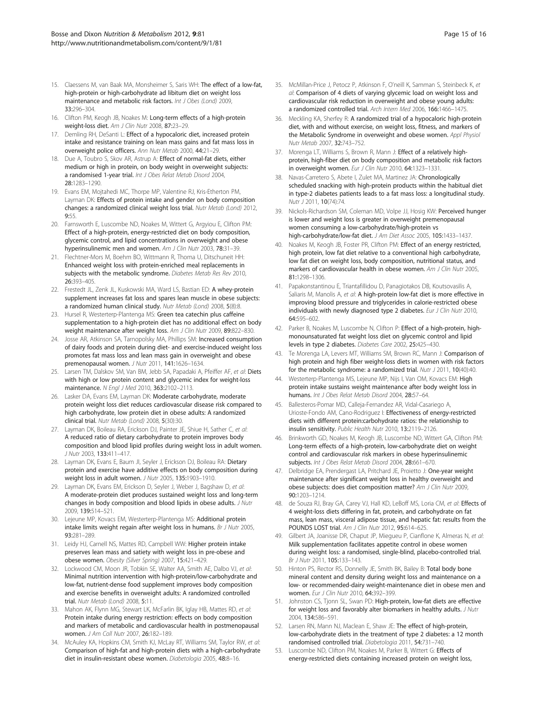- <span id="page-14-0"></span>15. Claessens M, van Baak MA, Monsheimer S, Saris WH: The effect of a low-fat, high-protein or high-carbohydrate ad libitum diet on weight loss maintenance and metabolic risk factors. Int J Obes (Lond) 2009, 33:296–304.
- 16. Clifton PM, Keogh JB, Noakes M: Long-term effects of a high-protein weight-loss diet. Am J Clin Nutr 2008, 87:23–29.
- 17. Demling RH, DeSanti L: Effect of a hypocaloric diet, increased protein intake and resistance training on lean mass gains and fat mass loss in overweight police officers. Ann Nutr Metab 2000, 44:21–29.
- 18. Due A, Toubro S, Skov AR, Astrup A: Effect of normal-fat diets, either medium or high in protein, on body weight in overweight subjects: a randomised 1-year trial. Int J Obes Relat Metab Disord 2004, 28:1283–1290.
- 19. Evans EM, Mojtahedi MC, Thorpe MP, Valentine RJ, Kris-Etherton PM, Layman DK: Effects of protein intake and gender on body composition changes: a randomized clinical weight loss trial. Nutr Metab (Lond) 2012, 9:55.
- 20. Farnsworth E, Luscombe ND, Noakes M, Wittert G, Argyiou E, Clifton PM: Effect of a high-protein, energy-restricted diet on body composition, glycemic control, and lipid concentrations in overweight and obese hyperinsulinemic men and women. Am J Clin Nutr 2003, 78:31-39.
- 21. Flechtner-Mors M, Boehm BO, Wittmann R, Thoma U, Ditschuneit HH: Enhanced weight loss with protein-enriched meal replacements in subjects with the metabolic syndrome. Diabetes Metab Res Rev 2010, 26:393–405.
- 22. Frestedt JL, Zenk JL, Kuskowski MA, Ward LS, Bastian ED: A whey-protein supplement increases fat loss and spares lean muscle in obese subjects: a randomized human clinical study. Nutr Metab (Lond) 2008, 5(8):8.
- 23. Hursel R, Westerterp-Plantenga MS: Green tea catechin plus caffeine supplementation to a high-protein diet has no additional effect on body weight maintenance after weight loss. Am J Clin Nutr 2009, 89:822-830.
- 24. Josse AR, Atkinson SA, Tarnopolsky MA, Phillips SM: Increased consumption of dairy foods and protein during diet- and exercise-induced weight loss promotes fat mass loss and lean mass gain in overweight and obese premenopausal women. J Nutr 2011, 141:1626–1634.
- 25. Larsen TM, Dalskov SM, Van BM, Jebb SA, Papadaki A, Pfeiffer AF, et al: Diets with high or low protein content and glycemic index for weight-loss maintenance. N Engl J Med 2010, 363:2102–2113.
- 26. Lasker DA, Evans EM, Layman DK: Moderate carbohydrate, moderate protein weight loss diet reduces cardiovascular disease risk compared to high carbohydrate, low protein diet in obese adults: A randomized clinical trial. Nutr Metab (Lond) 2008, 5(30):30.
- 27. Layman DK, Boileau RA, Erickson DJ, Painter JE, Shiue H, Sather C, et al: A reduced ratio of dietary carbohydrate to protein improves body composition and blood lipid profiles during weight loss in adult women. J Nutr 2003, 133:411–417.
- 28. Layman DK, Evans E, Baum JI, Seyler J, Erickson DJ, Boileau RA: Dietary protein and exercise have additive effects on body composition during weight loss in adult women. J Nutr 2005, 135:1903–1910.
- 29. Layman DK, Evans EM, Erickson D, Seyler J, Weber J, Bagshaw D, et al: A moderate-protein diet produces sustained weight loss and long-term changes in body composition and blood lipids in obese adults. J Nutr 2009, 139:514–521.
- 30. Lejeune MP, Kovacs EM, Westerterp-Plantenga MS: Additional protein intake limits weight regain after weight loss in humans. Br J Nutr 2005, 93:281–289.
- 31. Leidy HJ, Carnell NS, Mattes RD, Campbell WW: Higher protein intake preserves lean mass and satiety with weight loss in pre-obese and obese women. Obesity (Silver Spring) 2007, 15:421–429.
- 32. Lockwood CM, Moon JR, Tobkin SE, Walter AA, Smith AE, Dalbo VJ, et al: Minimal nutrition intervention with high-protein/low-carbohydrate and low-fat, nutrient-dense food supplement improves body composition and exercise benefits in overweight adults: A randomized controlled trial. Nutr Metab (Lond) 2008, 5:11.
- 33. Mahon AK, Flynn MG, Stewart LK, McFarlin BK, Iglay HB, Mattes RD, et al: Protein intake during energy restriction: effects on body composition and markers of metabolic and cardiovascular health in postmenopausal women. J Am Coll Nutr 2007, 26:182–189.
- 34. McAuley KA, Hopkins CM, Smith KJ, McLay RT, Williams SM, Taylor RW, et al: Comparison of high-fat and high-protein diets with a high-carbohydrate diet in insulin-resistant obese women. Diabetologia 2005, 48:8–16.
- 35. McMillan-Price J, Petocz P, Atkinson F, O'neill K, Samman S, Steinbeck K, et al: Comparison of 4 diets of varying glycemic load on weight loss and cardiovascular risk reduction in overweight and obese young adults: a randomized controlled trial. Arch Intern Med 2006, 166:1466-1475.
- 36. Meckling KA, Sherfey R: A randomized trial of a hypocaloric high-protein diet, with and without exercise, on weight loss, fitness, and markers of the Metabolic Syndrome in overweight and obese women. Appl Physiol Nutr Metab 2007, 32:743–752.
- 37. Morenga LT, Williams S, Brown R, Mann J: Effect of a relatively highprotein, high-fiber diet on body composition and metabolic risk factors in overweight women. Eur J Clin Nutr 2010, 64:1323-1331.
- 38. Navas-Carretero S, Abete I, Zulet MA, Martinez JA: Chronologically scheduled snacking with high-protein products within the habitual diet in type-2 diabetes patients leads to a fat mass loss: a longitudinal study. Nutr J 2011, 10(74):74.
- 39. Nickols-Richardson SM, Coleman MD, Volpe JJ, Hosig KW: Perceived hunger is lower and weight loss is greater in overweight premenopausal women consuming a low-carbohydrate/high-protein vs high-carbohydrate/low-fat diet. J Am Diet Assoc 2005, 105:1433-1437.
- 40. Noakes M, Keogh JB, Foster PR, Clifton PM: Effect of an energy restricted, high protein, low fat diet relative to a conventional high carbohydrate, low fat diet on weight loss, body composition, nutritional status, and markers of cardiovascular health in obese women. Am J Clin Nutr 2005, 81:1298–1306.
- 41. Papakonstantinou E, Triantafillidou D, Panagiotakos DB, Koutsovasilis A, Saliaris M, Manolis A, et al: A high-protein low-fat diet is more effective in improving blood pressure and triglycerides in calorie-restricted obese individuals with newly diagnosed type 2 diabetes. Eur J Clin Nutr 2010, 64:595–602.
- 42. Parker B, Noakes M, Luscombe N, Clifton P: Effect of a high-protein, highmonounsaturated fat weight loss diet on glycemic control and lipid levels in type 2 diabetes. Diabetes Care 2002, 25:425–430.
- 43. Te Morenga LA, Levers MT, Williams SM, Brown RC, Mann J: Comparison of high protein and high fiber weight-loss diets in women with risk factors for the metabolic syndrome: a randomized trial. Nutr J 2011, 10(40):40.
- 44. Westerterp-Plantenga MS, Lejeune MP, Nijs I, Van OM, Kovacs EM: High protein intake sustains weight maintenance after body weight loss in humans. Int J Obes Relat Metab Disord 2004, 28:57–64.
- 45. Ballesteros-Pomar MD, Calleja-Fernandez AR, Vidal-Casariego A, Urioste-Fondo AM, Cano-Rodriguez I: Effectiveness of energy-restricted diets with different protein:carbohydrate ratios: the relationship to insulin sensitivity. Public Health Nutr 2010, 13:2119–2126.
- 46. Brinkworth GD, Noakes M, Keogh JB, Luscombe ND, Wittert GA, Clifton PM: Long-term effects of a high-protein, low-carbohydrate diet on weight control and cardiovascular risk markers in obese hyperinsulinemic subjects. Int J Obes Relat Metab Disord 2004, 28:661-670.
- 47. Delbridge EA, Prendergast LA, Pritchard JE, Proietto J: One-year weight maintenance after significant weight loss in healthy overweight and obese subjects: does diet composition matter? Am J Clin Nutr 2009, 90:1203–1214.
- 48. de Souza RJ, Bray GA, Carey VJ, Hall KD, LeBoff MS, Loria CM, et al: Effects of 4 weight-loss diets differing in fat, protein, and carbohydrate on fat mass, lean mass, visceral adipose tissue, and hepatic fat: results from the POUNDS LOST trial. Am J Clin Nutr 2012, 95:614-625.
- 49. Gilbert JA, Joanisse DR, Chaput JP, Miegueu P, Cianflone K, Almeras N, et al: Milk supplementation facilitates appetite control in obese women during weight loss: a randomised, single-blind, placebo-controlled trial. Br J Nutr 2011, 105:133–143.
- 50. Hinton PS, Rector RS, Donnelly JE, Smith BK, Bailey B: Total body bone mineral content and density during weight loss and maintenance on a low- or recommended-dairy weight-maintenance diet in obese men and women. Eur J Clin Nutr 2010, 64:392–399.
- 51. Johnston CS, Tjonn SL, Swan PD: High-protein, low-fat diets are effective for weight loss and favorably alter biomarkers in healthy adults. J Nutr 2004, 134:586–591.
- 52. Larsen RN, Mann NJ, Maclean E, Shaw JE: The effect of high-protein, low-carbohydrate diets in the treatment of type 2 diabetes: a 12 month randomised controlled trial. Diabetologia 2011, 54:731–740.
- 53. Luscombe ND, Clifton PM, Noakes M, Parker B, Wittert G: Effects of energy-restricted diets containing increased protein on weight loss,